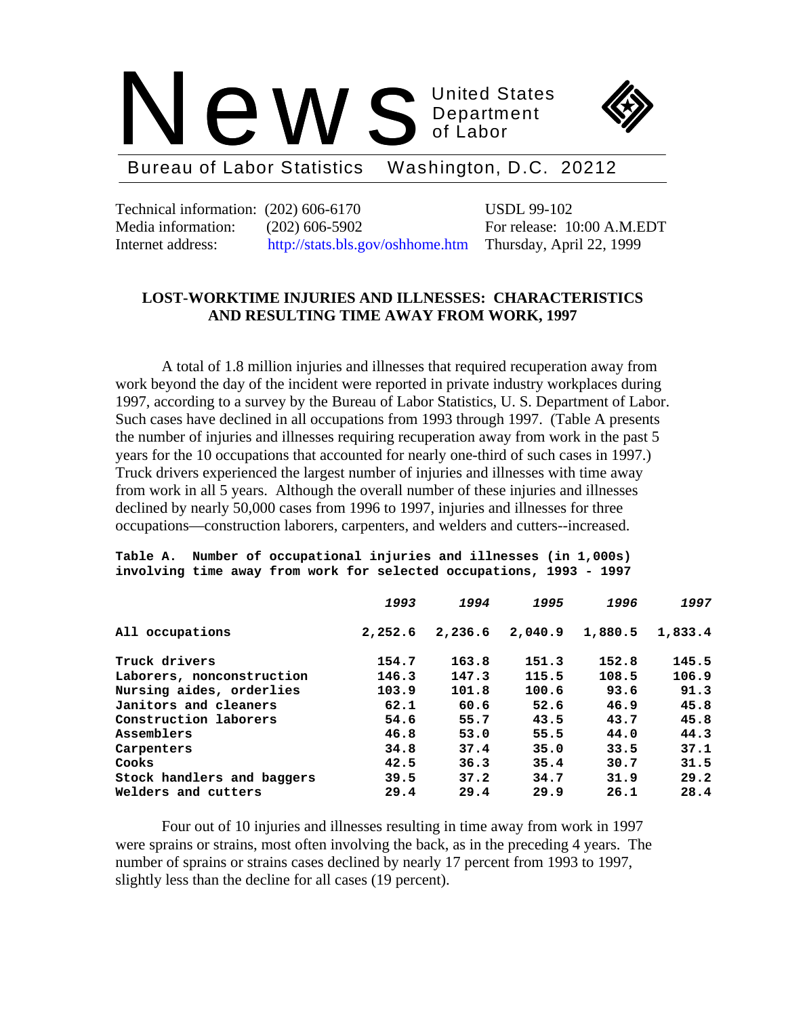



Bureau of Labor Statistics Washington, D.C. 20212

Technical information: (202) 606-6170 USDL 99-102 Media information: (202) 606-5902 For release: 10:00 A.M.EDT Internet address: http://stats.bls.gov/oshhome.htm Thursday, April 22, 1999

# **LOST-WORKTIME INJURIES AND ILLNESSES: CHARACTERISTICS AND RESULTING TIME AWAY FROM WORK, 1997**

A total of 1.8 million injuries and illnesses that required recuperation away from work beyond the day of the incident were reported in private industry workplaces during 1997, according to a survey by the Bureau of Labor Statistics, U. S. Department of Labor. Such cases have declined in all occupations from 1993 through 1997. (Table A presents the number of injuries and illnesses requiring recuperation away from work in the past 5 years for the 10 occupations that accounted for nearly one-third of such cases in 1997.) Truck drivers experienced the largest number of injuries and illnesses with time away from work in all 5 years. Although the overall number of these injuries and illnesses declined by nearly 50,000 cases from 1996 to 1997, injuries and illnesses for three occupations—construction laborers, carpenters, and welders and cutters--increased.

#### **Table A. Number of occupational injuries and illnesses (in 1,000s) involving time away from work for selected occupations, 1993 - 1997**

|                            | 1993    | 1994    | 1995    | 1996    | 1997    |
|----------------------------|---------|---------|---------|---------|---------|
| All occupations            | 2,252.6 | 2,236.6 | 2,040.9 | 1,880.5 | 1,833.4 |
| Truck drivers              | 154.7   | 163.8   | 151.3   | 152.8   | 145.5   |
| Laborers, nonconstruction  | 146.3   | 147.3   | 115.5   | 108.5   | 106.9   |
| Nursing aides, orderlies   | 103.9   | 101.8   | 100.6   | 93.6    | 91.3    |
| Janitors and cleaners      | 62.1    | 60.6    | 52.6    | 46.9    | 45.8    |
| Construction laborers      | 54.6    | 55.7    | 43.5    | 43.7    | 45.8    |
| Assemblers                 | 46.8    | 53.0    | 55.5    | 44.0    | 44.3    |
| Carpenters                 | 34.8    | 37.4    | 35.0    | 33.5    | 37.1    |
| Cooks                      | 42.5    | 36.3    | 35.4    | 30.7    | 31.5    |
| Stock handlers and baggers | 39.5    | 37.2    | 34.7    | 31.9    | 29.2    |
| Welders and cutters        | 29.4    | 29.4    | 29.9    | 26.1    | 28.4    |

Four out of 10 injuries and illnesses resulting in time away from work in 1997 were sprains or strains, most often involving the back, as in the preceding 4 years. The number of sprains or strains cases declined by nearly 17 percent from 1993 to 1997, slightly less than the decline for all cases (19 percent).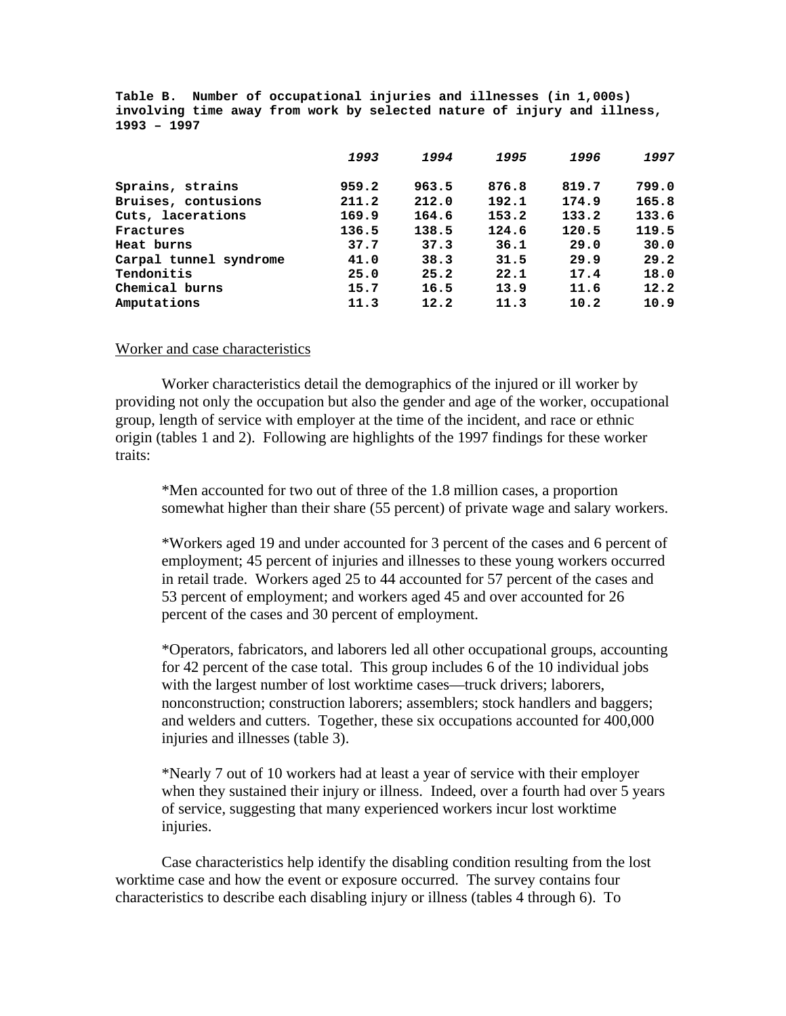**Table B. Number of occupational injuries and illnesses (in 1,000s) involving time away from work by selected nature of injury and illness, 1993 – 1997**

|                        | 1993  | 1994  | 1995  | 1996  | 1997  |
|------------------------|-------|-------|-------|-------|-------|
| Sprains, strains       | 959.2 | 963.5 | 876.8 | 819.7 | 799.0 |
| Bruises, contusions    | 211.2 | 212.0 | 192.1 | 174.9 | 165.8 |
| Cuts, lacerations      | 169.9 | 164.6 | 153.2 | 133.2 | 133.6 |
| Fractures              | 136.5 | 138.5 | 124.6 | 120.5 | 119.5 |
| Heat burns             | 37.7  | 37.3  | 36.1  | 29.0  | 30.0  |
| Carpal tunnel syndrome | 41.0  | 38.3  | 31.5  | 29.9  | 29.2  |
| Tendonitis             | 25.0  | 25.2  | 22.1  | 17.4  | 18.0  |
| Chemical burns         | 15.7  | 16.5  | 13.9  | 11.6  | 12.2  |
| Amputations            | 11.3  | 12.2  | 11.3  | 10.2  | 10.9  |

### Worker and case characteristics

Worker characteristics detail the demographics of the injured or ill worker by providing not only the occupation but also the gender and age of the worker, occupational group, length of service with employer at the time of the incident, and race or ethnic origin (tables 1 and 2). Following are highlights of the 1997 findings for these worker traits:

\*Men accounted for two out of three of the 1.8 million cases, a proportion somewhat higher than their share (55 percent) of private wage and salary workers.

\*Workers aged 19 and under accounted for 3 percent of the cases and 6 percent of employment; 45 percent of injuries and illnesses to these young workers occurred in retail trade. Workers aged 25 to 44 accounted for 57 percent of the cases and 53 percent of employment; and workers aged 45 and over accounted for 26 percent of the cases and 30 percent of employment.

\*Operators, fabricators, and laborers led all other occupational groups, accounting for 42 percent of the case total. This group includes 6 of the 10 individual jobs with the largest number of lost worktime cases—truck drivers; laborers, nonconstruction; construction laborers; assemblers; stock handlers and baggers; and welders and cutters. Together, these six occupations accounted for 400,000 injuries and illnesses (table 3).

\*Nearly 7 out of 10 workers had at least a year of service with their employer when they sustained their injury or illness. Indeed, over a fourth had over 5 years of service, suggesting that many experienced workers incur lost worktime injuries.

Case characteristics help identify the disabling condition resulting from the lost worktime case and how the event or exposure occurred. The survey contains four characteristics to describe each disabling injury or illness (tables 4 through 6). To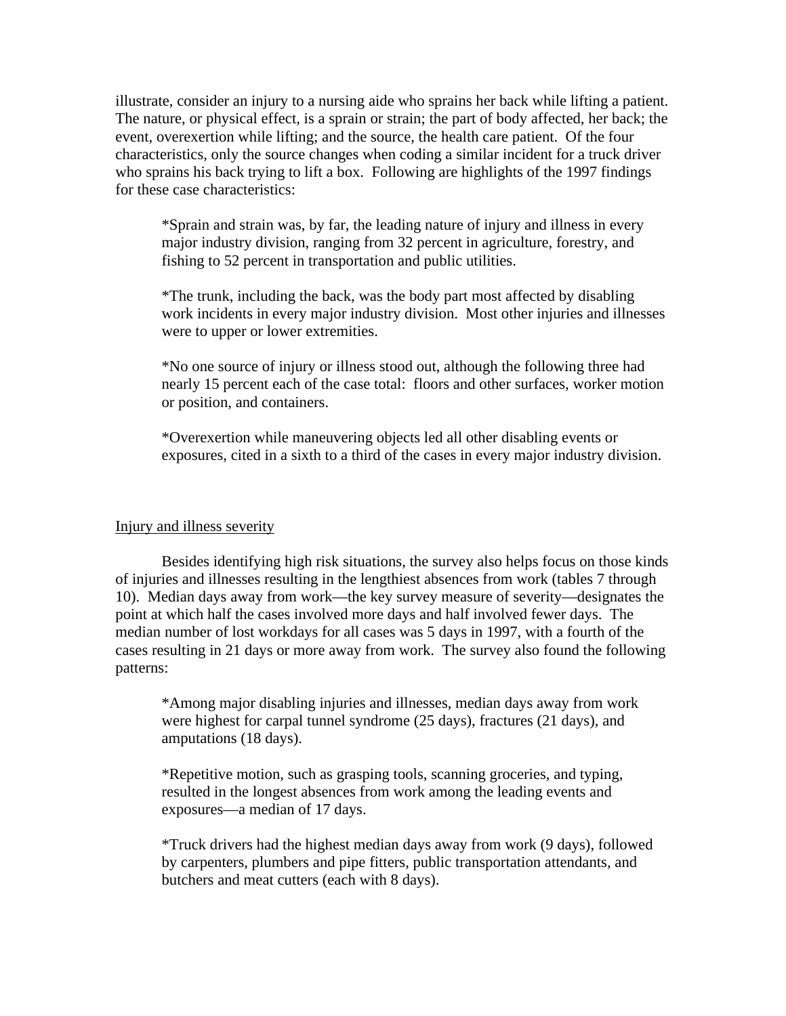illustrate, consider an injury to a nursing aide who sprains her back while lifting a patient. The nature, or physical effect, is a sprain or strain; the part of body affected, her back; the event, overexertion while lifting; and the source, the health care patient. Of the four characteristics, only the source changes when coding a similar incident for a truck driver who sprains his back trying to lift a box. Following are highlights of the 1997 findings for these case characteristics:

\*Sprain and strain was, by far, the leading nature of injury and illness in every major industry division, ranging from 32 percent in agriculture, forestry, and fishing to 52 percent in transportation and public utilities.

\*The trunk, including the back, was the body part most affected by disabling work incidents in every major industry division. Most other injuries and illnesses were to upper or lower extremities.

\*No one source of injury or illness stood out, although the following three had nearly 15 percent each of the case total: floors and other surfaces, worker motion or position, and containers.

\*Overexertion while maneuvering objects led all other disabling events or exposures, cited in a sixth to a third of the cases in every major industry division.

## Injury and illness severity

Besides identifying high risk situations, the survey also helps focus on those kinds of injuries and illnesses resulting in the lengthiest absences from work (tables 7 through 10). Median days away from work—the key survey measure of severity—designates the point at which half the cases involved more days and half involved fewer days. The median number of lost workdays for all cases was 5 days in 1997, with a fourth of the cases resulting in 21 days or more away from work. The survey also found the following patterns:

\*Among major disabling injuries and illnesses, median days away from work were highest for carpal tunnel syndrome (25 days), fractures (21 days), and amputations (18 days).

\*Repetitive motion, such as grasping tools, scanning groceries, and typing, resulted in the longest absences from work among the leading events and exposures—a median of 17 days.

\*Truck drivers had the highest median days away from work (9 days), followed by carpenters, plumbers and pipe fitters, public transportation attendants, and butchers and meat cutters (each with 8 days).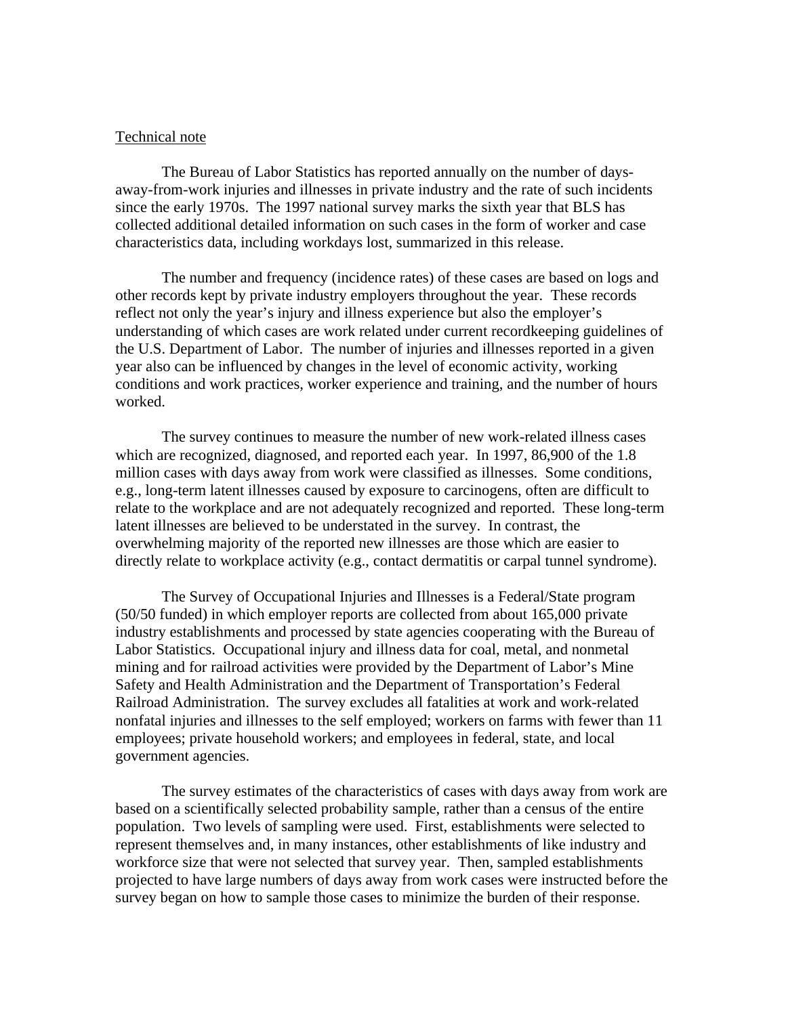## Technical note

The Bureau of Labor Statistics has reported annually on the number of daysaway-from-work injuries and illnesses in private industry and the rate of such incidents since the early 1970s. The 1997 national survey marks the sixth year that BLS has collected additional detailed information on such cases in the form of worker and case characteristics data, including workdays lost, summarized in this release.

The number and frequency (incidence rates) of these cases are based on logs and other records kept by private industry employers throughout the year. These records reflect not only the year's injury and illness experience but also the employer's understanding of which cases are work related under current recordkeeping guidelines of the U.S. Department of Labor. The number of injuries and illnesses reported in a given year also can be influenced by changes in the level of economic activity, working conditions and work practices, worker experience and training, and the number of hours worked.

The survey continues to measure the number of new work-related illness cases which are recognized, diagnosed, and reported each year. In 1997, 86,900 of the 1.8 million cases with days away from work were classified as illnesses. Some conditions, e.g., long-term latent illnesses caused by exposure to carcinogens, often are difficult to relate to the workplace and are not adequately recognized and reported. These long-term latent illnesses are believed to be understated in the survey. In contrast, the overwhelming majority of the reported new illnesses are those which are easier to directly relate to workplace activity (e.g., contact dermatitis or carpal tunnel syndrome).

The Survey of Occupational Injuries and Illnesses is a Federal/State program (50/50 funded) in which employer reports are collected from about 165,000 private industry establishments and processed by state agencies cooperating with the Bureau of Labor Statistics. Occupational injury and illness data for coal, metal, and nonmetal mining and for railroad activities were provided by the Department of Labor's Mine Safety and Health Administration and the Department of Transportation's Federal Railroad Administration. The survey excludes all fatalities at work and work-related nonfatal injuries and illnesses to the self employed; workers on farms with fewer than 11 employees; private household workers; and employees in federal, state, and local government agencies.

The survey estimates of the characteristics of cases with days away from work are based on a scientifically selected probability sample, rather than a census of the entire population. Two levels of sampling were used. First, establishments were selected to represent themselves and, in many instances, other establishments of like industry and workforce size that were not selected that survey year. Then, sampled establishments projected to have large numbers of days away from work cases were instructed before the survey began on how to sample those cases to minimize the burden of their response.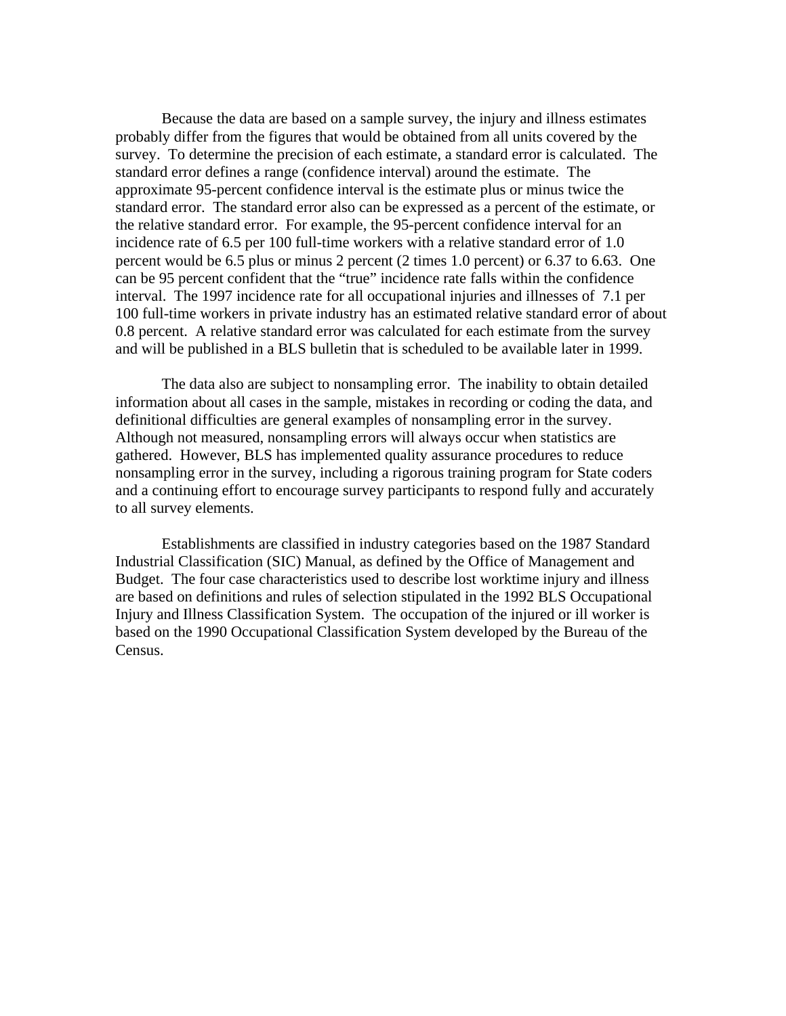Because the data are based on a sample survey, the injury and illness estimates probably differ from the figures that would be obtained from all units covered by the survey. To determine the precision of each estimate, a standard error is calculated. The standard error defines a range (confidence interval) around the estimate. The approximate 95-percent confidence interval is the estimate plus or minus twice the standard error. The standard error also can be expressed as a percent of the estimate, or the relative standard error. For example, the 95-percent confidence interval for an incidence rate of 6.5 per 100 full-time workers with a relative standard error of 1.0 percent would be 6.5 plus or minus 2 percent (2 times 1.0 percent) or 6.37 to 6.63. One can be 95 percent confident that the "true" incidence rate falls within the confidence interval. The 1997 incidence rate for all occupational injuries and illnesses of 7.1 per 100 full-time workers in private industry has an estimated relative standard error of about 0.8 percent. A relative standard error was calculated for each estimate from the survey and will be published in a BLS bulletin that is scheduled to be available later in 1999.

The data also are subject to nonsampling error. The inability to obtain detailed information about all cases in the sample, mistakes in recording or coding the data, and definitional difficulties are general examples of nonsampling error in the survey. Although not measured, nonsampling errors will always occur when statistics are gathered. However, BLS has implemented quality assurance procedures to reduce nonsampling error in the survey, including a rigorous training program for State coders and a continuing effort to encourage survey participants to respond fully and accurately to all survey elements.

Establishments are classified in industry categories based on the 1987 Standard Industrial Classification (SIC) Manual, as defined by the Office of Management and Budget. The four case characteristics used to describe lost worktime injury and illness are based on definitions and rules of selection stipulated in the 1992 BLS Occupational Injury and Illness Classification System. The occupation of the injured or ill worker is based on the 1990 Occupational Classification System developed by the Bureau of the Census.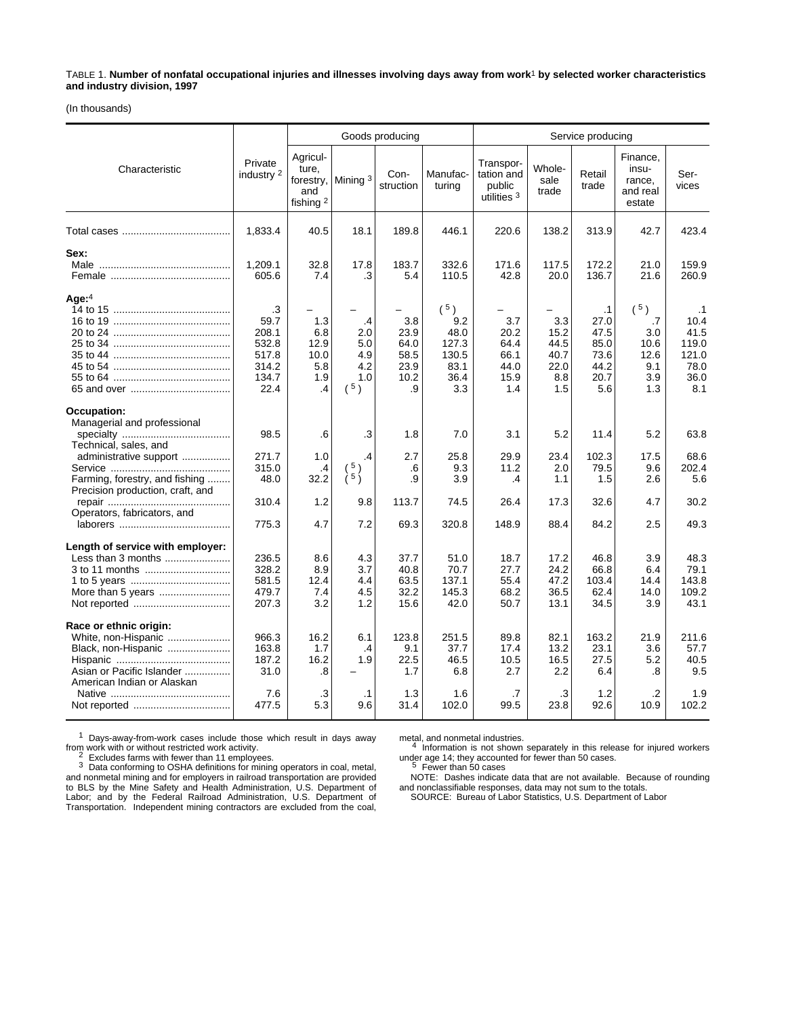TABLE 1. **Number of nonfatal occupational injuries and illnesses involving days away from work**1 **by selected worker characteristics and industry division, 1997**

(In thousands)

|                                                                                                                                 |                                                                 |                                                            | Goods producing                              |                                                   |                                                                  |                                                    | Service producing                                 |                                                                  |                                                                        |                                                                    |  |  |
|---------------------------------------------------------------------------------------------------------------------------------|-----------------------------------------------------------------|------------------------------------------------------------|----------------------------------------------|---------------------------------------------------|------------------------------------------------------------------|----------------------------------------------------|---------------------------------------------------|------------------------------------------------------------------|------------------------------------------------------------------------|--------------------------------------------------------------------|--|--|
| Characteristic                                                                                                                  | Private<br>industry 2                                           | Agricul-<br>ture,<br>and<br>fishing <sup>2</sup>           | forestry, Mining 3                           | Con-<br>struction                                 | Manufac-<br>turing                                               | Transpor-<br>tation and<br>public<br>utilities $3$ | Whole-<br>sale<br>trade                           | Retail<br>trade                                                  | Finance,<br>insu-<br>rance,<br>and real<br>estate                      | Ser-<br>vices                                                      |  |  |
|                                                                                                                                 | 1,833.4                                                         | 40.5                                                       | 18.1                                         | 189.8                                             | 446.1                                                            | 220.6                                              | 138.2                                             | 313.9                                                            | 42.7                                                                   | 423.4                                                              |  |  |
| Sex:                                                                                                                            | 1,209.1<br>605.6                                                | 32.8<br>7.4                                                | 17.8<br>.3                                   | 183.7<br>5.4                                      | 332.6<br>110.5                                                   | 171.6<br>42.8                                      | 117.5<br>20.0                                     | 172.2<br>136.7                                                   | 21.0<br>21.6                                                           | 159.9<br>260.9                                                     |  |  |
| Age: $4$                                                                                                                        | .3<br>59.7<br>208.1<br>532.8<br>517.8<br>314.2<br>134.7<br>22.4 | 1.3<br>6.8<br>12.9<br>10.0<br>5.8<br>1.9<br>$\overline{A}$ | .4<br>2.0<br>5.0<br>4.9<br>4.2<br>1.0<br>(5) | 3.8<br>23.9<br>64.0<br>58.5<br>23.9<br>10.2<br>.9 | $(^{5})$<br>9.2<br>48.0<br>127.3<br>130.5<br>83.1<br>36.4<br>3.3 | 3.7<br>20.2<br>64.4<br>66.1<br>44.0<br>15.9<br>1.4 | 3.3<br>15.2<br>44.5<br>40.7<br>22.0<br>8.8<br>1.5 | $\cdot$ 1<br>27.0<br>47.5<br>85.0<br>73.6<br>44.2<br>20.7<br>5.6 | $(^{5})$<br>$\overline{7}$<br>3.0<br>10.6<br>12.6<br>9.1<br>3.9<br>1.3 | $\cdot$ 1<br>10.4<br>41.5<br>119.0<br>121.0<br>78.0<br>36.0<br>8.1 |  |  |
| Occupation:<br>Managerial and professional                                                                                      | 98.5                                                            | .6                                                         | .3                                           | 1.8                                               | 7.0                                                              | 3.1                                                | 5.2                                               | 11.4                                                             | 5.2                                                                    | 63.8                                                               |  |  |
| Technical, sales, and<br>administrative support<br>Farming, forestry, and fishing                                               | 271.7<br>315.0<br>48.0                                          | 1.0<br>.4<br>32.2                                          | .4<br>5)<br>$\lambda$ 5 $\lambda$            | 2.7<br>.6<br>.9                                   | 25.8<br>9.3<br>3.9                                               | 29.9<br>11.2<br>.4                                 | 23.4<br>2.0<br>1.1                                | 102.3<br>79.5<br>1.5                                             | 17.5<br>9.6<br>2.6                                                     | 68.6<br>202.4<br>5.6                                               |  |  |
| Precision production, craft, and<br>Operators, fabricators, and                                                                 | 310.4                                                           | 1.2                                                        | 9.8                                          | 113.7                                             | 74.5                                                             | 26.4                                               | 17.3                                              | 32.6                                                             | 4.7                                                                    | 30.2                                                               |  |  |
|                                                                                                                                 | 775.3                                                           | 4.7                                                        | 7.2                                          | 69.3                                              | 320.8                                                            | 148.9                                              | 88.4                                              | 84.2                                                             | 2.5                                                                    | 49.3                                                               |  |  |
| Length of service with employer:<br>Less than 3 months                                                                          | 236.5<br>328.2<br>581.5<br>479.7<br>207.3                       | 8.6<br>8.9<br>12.4<br>7.4<br>3.2                           | 4.3<br>3.7<br>4.4<br>4.5<br>1.2              | 37.7<br>40.8<br>63.5<br>32.2<br>15.6              | 51.0<br>70.7<br>137.1<br>145.3<br>42.0                           | 18.7<br>27.7<br>55.4<br>68.2<br>50.7               | 17.2<br>24.2<br>47.2<br>36.5<br>13.1              | 46.8<br>66.8<br>103.4<br>62.4<br>34.5                            | 3.9<br>6.4<br>14.4<br>14.0<br>3.9                                      | 48.3<br>79.1<br>143.8<br>109.2<br>43.1                             |  |  |
| Race or ethnic origin:<br>White, non-Hispanic<br>Black, non-Hispanic<br>Asian or Pacific Islander<br>American Indian or Alaskan | 966.3<br>163.8<br>187.2<br>31.0                                 | 16.2<br>1.7<br>16.2<br>.8                                  | 6.1<br>.4<br>1.9                             | 123.8<br>9.1<br>22.5<br>1.7                       | 251.5<br>37.7<br>46.5<br>6.8                                     | 89.8<br>17.4<br>10.5<br>2.7                        | 82.1<br>13.2<br>16.5<br>2.2                       | 163.2<br>23.1<br>27.5<br>6.4                                     | 21.9<br>3.6<br>5.2<br>.8                                               | 211.6<br>57.7<br>40.5<br>9.5                                       |  |  |
|                                                                                                                                 | 7.6<br>477.5                                                    | .3<br>5.3                                                  | $\cdot$ 1<br>9.6                             | 1.3<br>31.4                                       | 1.6<br>102.0                                                     | .7<br>99.5                                         | .3<br>23.8                                        | 1.2<br>92.6                                                      | $\cdot$<br>10.9                                                        | 1.9<br>102.2                                                       |  |  |

 $1$  Days-away-from-work cases include those which result in days away from work with or without restricted work activity.

From With or with fewer than 11 employees.<br>3 Data conforming to OSHA definitions for mining operators in coal, metal, and nonmetal mining and for employers in railroad transportation are provided<br>to BLS by the Mine Safety and Health Administration, U.S. Department of<br>Labor; and by the Federal Railroad Administration, U.S. Department of<br>Tr

metal, and nonmetal industries. 4 Information is not shown separately in this release for injured workers

under age 14; they accounted for fewer than 50 cases.<br><sup>5</sup> Fewer than 50 cases<br>NOTE: Dashes indicate data that are not available. Because of rounding and nonclassifiable responses, data may not sum to the totals. SOURCE: Bureau of Labor Statistics, U.S. Department of Labor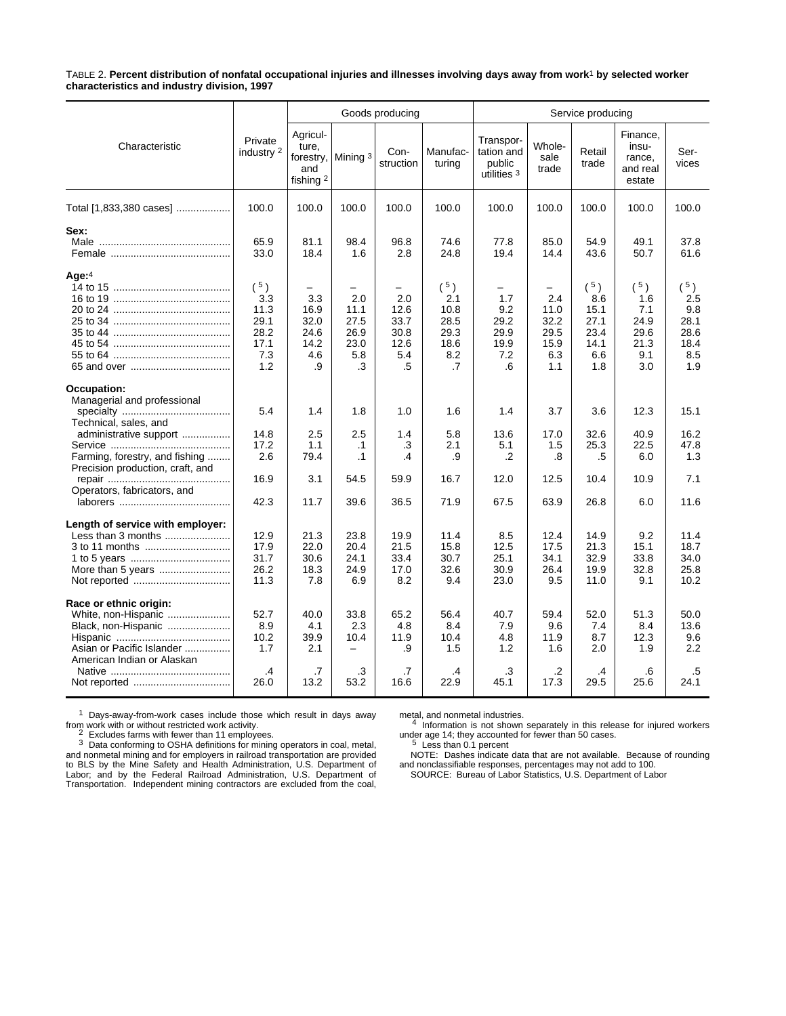TABLE 2. **Percent distribution of nonfatal occupational injuries and illnesses involving days away from work**1 **by selected worker characteristics and industry division, 1997**

|                                                                                                                                 |                                                               |                                                    | Goods producing                                       |                                                       |                                                              |                                                      | Service producing                                      |                                                          |                                                              |                                                              |  |  |
|---------------------------------------------------------------------------------------------------------------------------------|---------------------------------------------------------------|----------------------------------------------------|-------------------------------------------------------|-------------------------------------------------------|--------------------------------------------------------------|------------------------------------------------------|--------------------------------------------------------|----------------------------------------------------------|--------------------------------------------------------------|--------------------------------------------------------------|--|--|
| Characteristic                                                                                                                  | Private<br>industry 2                                         | Agricul-<br>ture,<br>forestry,<br>and<br>fishing 2 | Mining 3                                              | Con-<br>struction                                     | Manufac-<br>turing                                           | Transpor-<br>tation and<br>public<br>utilities $3$   | Whole-<br>sale<br>trade                                | Retail<br>trade                                          | Finance.<br>insu-<br>rance,<br>and real<br>estate            | Ser-<br>vices                                                |  |  |
| Total [1,833,380 cases]                                                                                                         | 100.0                                                         | 100.0                                              | 100.0                                                 | 100.0                                                 | 100.0                                                        | 100.0                                                | 100.0                                                  | 100.0                                                    | 100.0                                                        | 100.0                                                        |  |  |
| Sex:                                                                                                                            | 65.9<br>33.0                                                  | 81.1<br>18.4                                       | 98.4<br>1.6                                           | 96.8<br>2.8                                           | 74.6<br>24.8                                                 | 77.8<br>19.4                                         | 85.0<br>14.4                                           | 54.9<br>43.6                                             | 49.1<br>50.7                                                 | 37.8<br>61.6                                                 |  |  |
| Age: $4$                                                                                                                        | $(^{5})$<br>3.3<br>11.3<br>29.1<br>28.2<br>17.1<br>7.3<br>1.2 | 3.3<br>16.9<br>32.0<br>24.6<br>14.2<br>4.6<br>.9   | 2.0<br>11.1<br>27.5<br>26.9<br>23.0<br>5.8<br>.3      | -<br>2.0<br>12.6<br>33.7<br>30.8<br>12.6<br>5.4<br>.5 | $(^{5})$<br>2.1<br>10.8<br>28.5<br>29.3<br>18.6<br>8.2<br>.7 | -<br>1.7<br>9.2<br>29.2<br>29.9<br>19.9<br>7.2<br>.6 | -<br>2.4<br>11.0<br>32.2<br>29.5<br>15.9<br>6.3<br>1.1 | (5)<br>8.6<br>15.1<br>27.1<br>23.4<br>14.1<br>6.6<br>1.8 | $(^{5})$<br>1.6<br>7.1<br>24.9<br>29.6<br>21.3<br>9.1<br>3.0 | $(^{5})$<br>2.5<br>9.8<br>28.1<br>28.6<br>18.4<br>8.5<br>1.9 |  |  |
| Occupation:<br>Managerial and professional<br>Technical, sales, and                                                             | 5.4                                                           | 1.4                                                | 1.8                                                   | 1.0                                                   | 1.6                                                          | 1.4                                                  | 3.7                                                    | 3.6                                                      | 12.3                                                         | 15.1                                                         |  |  |
| administrative support<br>Farming, forestry, and fishing<br>Precision production, craft, and                                    | 14.8<br>17.2<br>2.6                                           | 2.5<br>1.1<br>79.4                                 | 2.5<br>$\cdot$ 1<br>$\cdot$ 1                         | 1.4<br>.3<br>.4                                       | 5.8<br>2.1<br>.9                                             | 13.6<br>5.1<br>.2                                    | 17.0<br>1.5<br>.8                                      | 32.6<br>25.3<br>.5                                       | 40.9<br>22.5<br>6.0                                          | 16.2<br>47.8<br>1.3                                          |  |  |
| Operators, fabricators, and                                                                                                     | 16.9<br>42.3                                                  | 3.1<br>11.7                                        | 54.5<br>39.6                                          | 59.9<br>36.5                                          | 16.7<br>71.9                                                 | 12.0<br>67.5                                         | 12.5<br>63.9                                           | 10.4<br>26.8                                             | 10.9<br>6.0                                                  | 7.1<br>11.6                                                  |  |  |
| Length of service with employer:<br>Less than 3 months                                                                          | 12.9<br>17.9<br>31.7<br>26.2<br>11.3                          | 21.3<br>22.0<br>30.6<br>18.3<br>7.8                | 23.8<br>20.4<br>24.1<br>24.9<br>6.9                   | 19.9<br>21.5<br>33.4<br>17.0<br>8.2                   | 11.4<br>15.8<br>30.7<br>32.6<br>9.4                          | 8.5<br>12.5<br>25.1<br>30.9<br>23.0                  | 12.4<br>17.5<br>34.1<br>26.4<br>9.5                    | 14.9<br>21.3<br>32.9<br>19.9<br>11.0                     | 9.2<br>15.1<br>33.8<br>32.8<br>9.1                           | 11.4<br>18.7<br>34.0<br>25.8<br>10.2                         |  |  |
| Race or ethnic origin:<br>White, non-Hispanic<br>Black, non-Hispanic<br>Asian or Pacific Islander<br>American Indian or Alaskan | 52.7<br>8.9<br>10.2<br>1.7<br>$\cdot$                         | 40.0<br>4.1<br>39.9<br>2.1<br>.7                   | 33.8<br>2.3<br>10.4<br>$\overline{\phantom{0}}$<br>.3 | 65.2<br>4.8<br>11.9<br>.9<br>.7                       | 56.4<br>8.4<br>10.4<br>1.5<br>.4                             | 40.7<br>7.9<br>4.8<br>1.2<br>.3                      | 59.4<br>9.6<br>11.9<br>1.6<br>$\cdot$                  | 52.0<br>7.4<br>8.7<br>2.0<br>.4                          | 51.3<br>8.4<br>12.3<br>1.9<br>.6                             | 50.0<br>13.6<br>9.6<br>$2.2\phantom{0}$<br>.5                |  |  |
|                                                                                                                                 | 26.0                                                          | 13.2                                               | 53.2                                                  | 16.6                                                  | 22.9                                                         | 45.1                                                 | 17.3                                                   | 29.5                                                     | 25.6                                                         | 24.1                                                         |  |  |

 $1$  Days-away-from-work cases include those which result in days away from work with or without restricted work activity.<br><sup>2</sup> Excludes farms with fewer than 11 employees.<br><sup>3</sup> Data conforming to OSHA definitions for mining operators in coal, metal,

and nonmetal minimum when the matrix of the mining operators in coal, metal,<br>and nonmetal mining and for employers in railroad transportation are provided to BLS by the Mine Safety and Health Administration, U.S. Department of Labor; and by the Federal Railroad Administration, U.S. Department of Transportation. Independent mining contractors are excluded from the coal,

metal, and nonmetal industries.<br>4 Information is not shown separately in this release for injured workers under age 14; they accounted for fewer than 50 cases. <sup>5</sup> Less than 0.1 percent

NOTE: Dashes indicate data that are not available. Because of rounding and nonclassifiable responses, percentages may not add to 100. SOURCE: Bureau of Labor Statistics, U.S. Department of Labor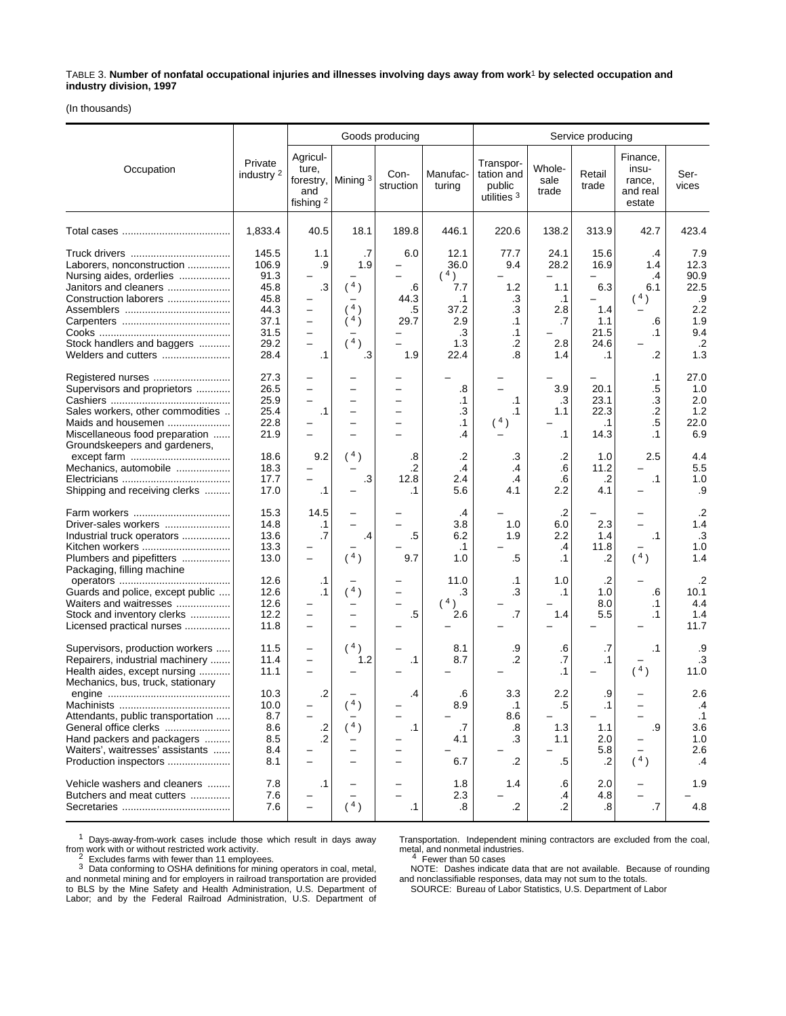TABLE 3. **Number of nonfatal occupational injuries and illnesses involving days away from work**1 **by selected occupation and industry division, 1997**

(In thousands)

|                                                                                                                                                              |                                                                                |                                                               |                                                    | Goods producing                        |                                                                             | Service producing                                      |                                                             |                                                                     |                                                        |                                                                             |
|--------------------------------------------------------------------------------------------------------------------------------------------------------------|--------------------------------------------------------------------------------|---------------------------------------------------------------|----------------------------------------------------|----------------------------------------|-----------------------------------------------------------------------------|--------------------------------------------------------|-------------------------------------------------------------|---------------------------------------------------------------------|--------------------------------------------------------|-----------------------------------------------------------------------------|
| Occupation                                                                                                                                                   | Private<br>industry 2                                                          | Agricul-<br>ture,<br>and<br>fishing <sup>2</sup>              | forestry, Mining 3                                 | Con-<br>struction                      | Manufac-<br>turing                                                          | Transpor-<br>tation and<br>public<br>utilities $3$     | Whole-<br>sale<br>trade                                     | Retail<br>trade                                                     | Finance,<br>insu-<br>rance,<br>and real<br>estate      | Ser-<br>vices                                                               |
|                                                                                                                                                              | 1,833.4                                                                        | 40.5                                                          | 18.1                                               | 189.8                                  | 446.1                                                                       | 220.6                                                  | 138.2                                                       | 313.9                                                               | 42.7                                                   | 423.4                                                                       |
| Laborers, nonconstruction<br>Nursing aides, orderlies<br>Janitors and cleaners<br>Construction laborers<br>Stock handlers and baggers<br>Welders and cutters | 145.5<br>106.9<br>91.3<br>45.8<br>45.8<br>44.3<br>37.1<br>31.5<br>29.2<br>28.4 | 1.1<br>.9<br>.3<br>$\overline{\phantom{0}}$<br>-<br>$\cdot$ 1 | .7<br>1.9<br>(4)<br>4)<br>$4 \choose$<br>(4)<br>.3 | 6.0<br>.6<br>44.3<br>.5<br>29.7<br>1.9 | 12.1<br>36.0<br>(4)<br>7.7<br>$\cdot$ 1<br>37.2<br>2.9<br>.3<br>1.3<br>22.4 | 77.7<br>9.4<br>1.2<br>.3<br>.3<br>.1<br>.1<br>.2<br>.8 | 24.1<br>28.2<br>1.1<br>$\cdot$ 1<br>2.8<br>.7<br>2.8<br>1.4 | 15.6<br>16.9<br>6.3<br>-<br>1.4<br>1.1<br>21.5<br>24.6<br>$\cdot$ 1 | .4<br>1.4<br>.4<br>6.1<br>(4)<br>.6<br>.1<br>.2        | 7.9<br>12.3<br>90.9<br>22.5<br>.9<br>2.2<br>1.9<br>9.4<br>$\cdot$ .2<br>1.3 |
| Supervisors and proprietors<br>Sales workers, other commodities<br>Maids and housemen<br>Miscellaneous food preparation<br>Groundskeepers and gardeners,     | 27.3<br>26.5<br>25.9<br>25.4<br>22.8<br>21.9                                   | -<br>$\overline{\phantom{0}}$<br>$\cdot$ 1                    |                                                    |                                        | .8<br>$\cdot$ 1<br>.3<br>$\cdot$ 1<br>.4                                    | $\cdot$ 1<br>$\cdot$ 1<br>(4)                          | 3.9<br>$\cdot$ 3<br>1.1<br>.1                               | 20.1<br>23.1<br>22.3<br>.1<br>14.3                                  | $\cdot$ 1<br>.5<br>.3<br>$.2\,$<br>$.5\,$<br>$\cdot$ 1 | 27.0<br>1.0<br>2.0<br>1.2<br>22.0<br>6.9                                    |
| Mechanics, automobile<br>Shipping and receiving clerks                                                                                                       | 18.6<br>18.3<br>17.7<br>17.0                                                   | 9.2<br>.1                                                     | $^{\prime}$ 4)<br>.3                               | .8<br>$\cdot$<br>12.8<br>.1            | .2<br>$\cdot$ 4<br>2.4<br>5.6                                               | .3<br>.4<br>$\cdot$<br>4.1                             | .2<br>.6<br>.6<br>2.2                                       | 1.0<br>11.2<br>.2<br>4.1                                            | 2.5<br>$\cdot$ 1                                       | 4.4<br>5.5<br>1.0<br>.9                                                     |
| Driver-sales workers<br>Industrial truck operators<br>Kitchen workers<br>Plumbers and pipefitters                                                            | 15.3<br>14.8<br>13.6<br>13.3<br>13.0                                           | 14.5<br>.1<br>.7                                              | .4<br>(4)                                          | .5<br>9.7                              | .4<br>3.8<br>6.2<br>$\cdot$ 1<br>1.0                                        | 1.0<br>1.9<br>.5                                       | $\cdot$ .2<br>6.0<br>2.2<br>.4<br>.1                        | 2.3<br>1.4<br>11.8<br>.2                                            | $\cdot$ 1<br>(4)                                       | .2<br>1.4<br>.3<br>1.0<br>1.4                                               |
| Packaging, filling machine<br>Guards and police, except public<br>Waiters and waitresses<br>Stock and inventory clerks<br>Licensed practical nurses          | 12.6<br>12.6<br>12.6<br>12.2<br>11.8                                           | .1<br>$\cdot$ 1                                               | (4)                                                | .5                                     | 11.0<br>.3<br>(4)<br>2.6                                                    | .1<br>.3<br>.7                                         | 1.0<br>.1<br>1.4                                            | $\cdot$ .2<br>1.0<br>8.0<br>5.5                                     | .6<br>.1<br>.1                                         | .2<br>10.1<br>4.4<br>1.4<br>11.7                                            |
| Supervisors, production workers<br>Repairers, industrial machinery<br>Health aides, except nursing<br>Mechanics, bus, truck, stationary                      | 11.5<br>11.4<br>11.1                                                           | $\overline{\phantom{0}}$<br>$\overline{\phantom{0}}$          | 4)<br>1.2                                          | .1                                     | 8.1<br>8.7                                                                  | .9<br>.2                                               | .6<br>.7<br>.1                                              | .7<br>$\cdot$ 1                                                     | .1<br>(4)                                              | .9<br>.3<br>11.0                                                            |
| Attendants, public transportation<br>General office clerks<br>Hand packers and packagers<br>Waiters', waitresses' assistants<br>Production inspectors        | 10.3<br>10.0<br>8.7<br>8.6<br>8.5<br>8.4<br>8.1                                | $\cdot$<br>$\cdot$<br>$\cdot$ .2                              | 4)<br>(4)                                          | .4<br>$\cdot$ 1                        | .6<br>8.9<br>.7<br>4.1<br>6.7                                               | 3.3<br>$\cdot$ 1<br>8.6<br>.8<br>.3<br>.2              | 2.2<br>$.5\,$<br>1.3<br>1.1<br>$.5\,$                       | .9<br>$\cdot$ 1<br>1.1<br>2.0<br>5.8<br>$\cdot$ .2                  | .9<br>(4)                                              | 2.6<br>$\cdot$<br>$\cdot$ 1<br>3.6<br>1.0<br>2.6<br>$\cdot$                 |
| Vehicle washers and cleaners<br>Butchers and meat cutters                                                                                                    | 7.8<br>7.6<br>7.6                                                              | $\cdot$ 1<br>$\equiv$                                         | $(^{4})$                                           | $\cdot$ 1                              | 1.8<br>2.3<br>.8                                                            | 1.4<br>$\cdot$                                         | .6<br>.4<br>$\cdot$                                         | 2.0<br>4.8<br>.8                                                    | .7                                                     | 1.9<br>4.8                                                                  |

1 Days-away-from-work cases include those which result in days away

from work with or without restricted work activity.<br>
<sup>2</sup> Excludes farms with fewer than 11 employees.<br>
<sup>3</sup> Data conforming to OSHA definitions for mining operators in coal, metal,<br>
and nonmetal mining and for employers in

Transportation. Independent mining contractors are excluded from the coal, managemental, and nonmetal industries.<br>4 Fewer than 50 cases

NOTE: Dashes indicate data that are not available. Because of rounding and nonclassifiable responses, data may not sum to the totals. SOURCE: Bureau of Labor Statistics, U.S. Department of Labor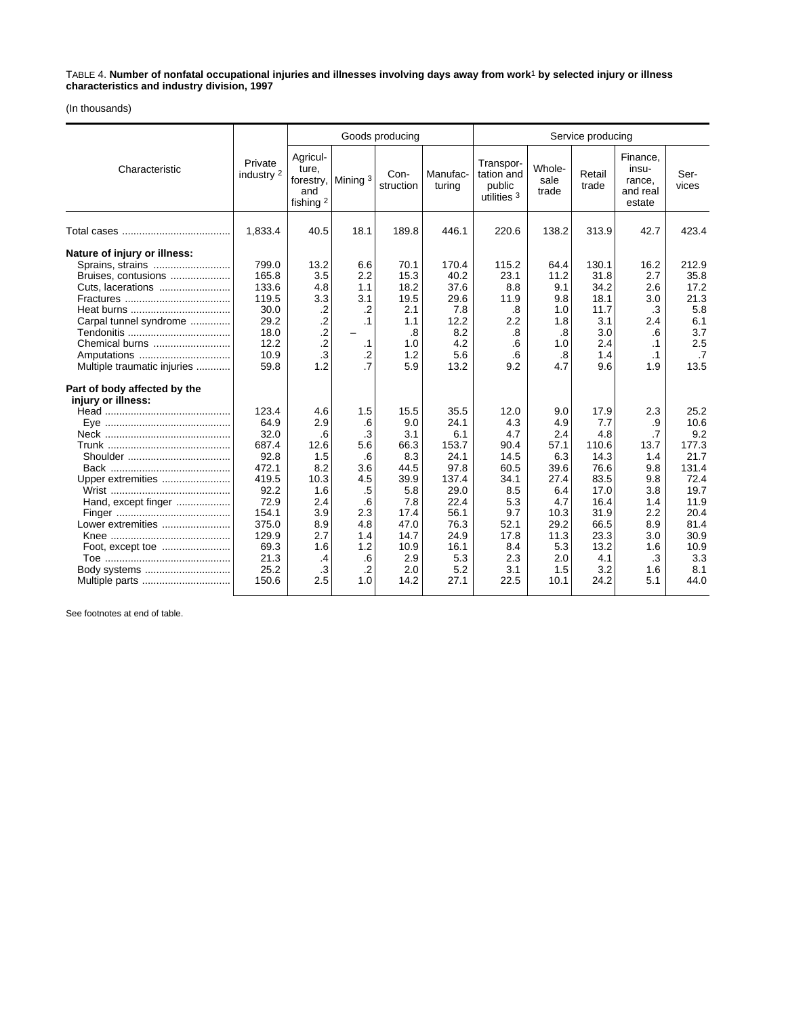TABLE 4. **Number of nonfatal occupational injuries and illnesses involving days away from work**1 **by selected injury or illness characteristics and industry division, 1997**

(In thousands)

|                                                                                                                                                                                        |                                                                                                                     |                                                                                                                    |                                                                                          | Goods producing                                                                                        |                                                                                                              | Service producing                                                                                     |                                                                                                      |                                                                                                            |                                                                                              |                                                                                                              |  |
|----------------------------------------------------------------------------------------------------------------------------------------------------------------------------------------|---------------------------------------------------------------------------------------------------------------------|--------------------------------------------------------------------------------------------------------------------|------------------------------------------------------------------------------------------|--------------------------------------------------------------------------------------------------------|--------------------------------------------------------------------------------------------------------------|-------------------------------------------------------------------------------------------------------|------------------------------------------------------------------------------------------------------|------------------------------------------------------------------------------------------------------------|----------------------------------------------------------------------------------------------|--------------------------------------------------------------------------------------------------------------|--|
| Characteristic                                                                                                                                                                         | Private<br>industry 2                                                                                               | Agricul-<br>ture,<br>and<br>fishing <sup>2</sup>                                                                   | forestry,   Mining 3                                                                     | Con-<br>struction                                                                                      | Manufac-<br>turing                                                                                           | Transpor-<br>tation and<br>public<br>utilities $3$                                                    | Whole-<br>sale<br>trade                                                                              | Retail<br>trade                                                                                            | Finance,<br>insu-<br>rance,<br>and real<br>estate                                            | Ser-<br>vices                                                                                                |  |
|                                                                                                                                                                                        | 1,833.4                                                                                                             | 40.5                                                                                                               | 18.1                                                                                     | 189.8                                                                                                  | 446.1                                                                                                        | 220.6                                                                                                 | 138.2                                                                                                | 313.9                                                                                                      | 42.7                                                                                         | 423.4                                                                                                        |  |
| Nature of injury or illness:<br>Sprains, strains<br>Bruises, contusions<br>Cuts, lacerations<br>Carpal tunnel syndrome<br>Chemical burns<br>Amputations<br>Multiple traumatic injuries | 799.0<br>165.8<br>133.6<br>119.5<br>30.0<br>29.2<br>18.0<br>12.2<br>10.9<br>59.8                                    | 13.2<br>3.5<br>4.8<br>3.3<br>$\cdot$ .2<br>$\overline{c}$<br>$\overline{c}$<br>$\overline{.2}$<br>$\cdot$ 3<br>1.2 | 6.6<br>2.2<br>1.1<br>3.1<br>$\cdot$ .2<br>$\cdot$ 1<br>.1<br>$\cdot$ .2<br>.7            | 70.1<br>15.3<br>18.2<br>19.5<br>2.1<br>1.1<br>.8<br>1.0<br>1.2<br>5.9                                  | 170.4<br>40.2<br>37.6<br>29.6<br>7.8<br>12.2<br>8.2<br>4.2<br>5.6<br>13.2                                    | 115.2<br>23.1<br>8.8<br>11.9<br>.8<br>2.2<br>.8<br>.6<br>.6<br>9.2                                    | 64.4<br>11.2<br>9.1<br>9.8<br>1.0<br>1.8<br>.8<br>1.0<br>.8<br>4.7                                   | 130.1<br>31.8<br>34.2<br>18.1<br>11.7<br>3.1<br>3.0<br>2.4<br>1.4<br>9.6                                   | 16.2<br>2.7<br>2.6<br>3.0<br>.3<br>2.4<br>.6<br>$\cdot$ 1<br>$\cdot$ 1<br>1.9                | 212.9<br>35.8<br>17.2<br>21.3<br>5.8<br>6.1<br>3.7<br>2.5<br>.7<br>13.5                                      |  |
| Part of body affected by the<br>injury or illness:<br>Upper extremities<br>Hand, except finger<br>Lower extremities<br>Foot, except toe                                                | 123.4<br>64.9<br>32.0<br>687.4<br>92.8<br>472.1<br>419.5<br>92.2<br>72.9<br>154.1<br>375.0<br>129.9<br>69.3<br>21.3 | 4.6<br>2.9<br>.6<br>12.6<br>1.5<br>8.2<br>10.3<br>1.6<br>2.4<br>3.9<br>8.9<br>2.7<br>1.6<br>$\cdot$                | 1.5<br>.6<br>.3<br>5.6<br>.6<br>3.6<br>4.5<br>.5<br>.6<br>2.3<br>4.8<br>1.4<br>1.2<br>.6 | 15.5<br>9.0<br>3.1<br>66.3<br>8.3<br>44.5<br>39.9<br>5.8<br>7.8<br>17.4<br>47.0<br>14.7<br>10.9<br>2.9 | 35.5<br>24.1<br>6.1<br>153.7<br>24.1<br>97.8<br>137.4<br>29.0<br>22.4<br>56.1<br>76.3<br>24.9<br>16.1<br>5.3 | 12.0<br>4.3<br>4.7<br>90.4<br>14.5<br>60.5<br>34.1<br>8.5<br>5.3<br>9.7<br>52.1<br>17.8<br>8.4<br>2.3 | 9.0<br>4.9<br>2.4<br>57.1<br>6.3<br>39.6<br>27.4<br>6.4<br>4.7<br>10.3<br>29.2<br>11.3<br>5.3<br>2.0 | 17.9<br>7.7<br>4.8<br>110.6<br>14.3<br>76.6<br>83.5<br>17.0<br>16.4<br>31.9<br>66.5<br>23.3<br>13.2<br>4.1 | 2.3<br>.9<br>.7<br>13.7<br>1.4<br>9.8<br>9.8<br>3.8<br>1.4<br>2.2<br>8.9<br>3.0<br>1.6<br>.3 | 25.2<br>10.6<br>9.2<br>177.3<br>21.7<br>131.4<br>72.4<br>19.7<br>11.9<br>20.4<br>81.4<br>30.9<br>10.9<br>3.3 |  |
| Body systems<br>Multiple parts                                                                                                                                                         | 25.2<br>150.6                                                                                                       | $\cdot$ 3<br>2.5                                                                                                   | $\cdot$<br>1.0                                                                           | 2.0<br>14.2                                                                                            | 5.2<br>27.1                                                                                                  | 3.1<br>22.5                                                                                           | 1.5<br>10.1                                                                                          | 3.2<br>24.2                                                                                                | 1.6<br>5.1                                                                                   | 8.1<br>44.0                                                                                                  |  |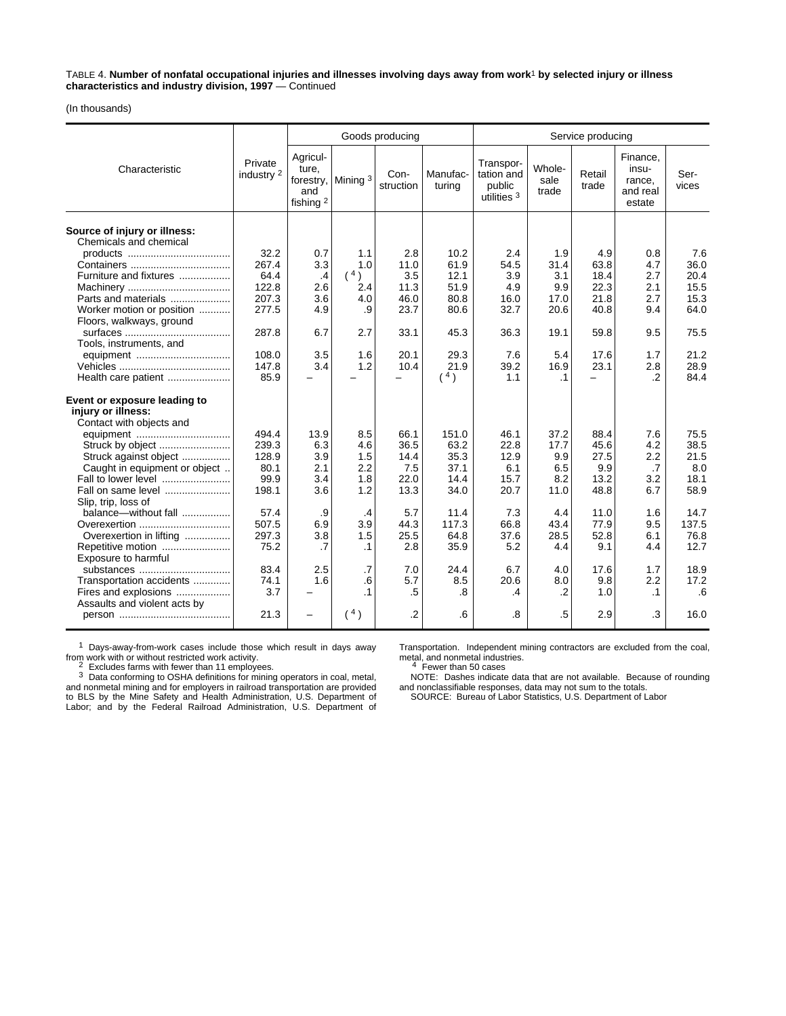TABLE 4. **Number of nonfatal occupational injuries and illnesses involving days away from work**1 **by selected injury or illness characteristics and industry division, 1997** — Continued

(In thousands)

|                                                        |                       |                                                  |                    | Goods producing   |                    | Service producing                                |                         |                 |                                                   |               |  |
|--------------------------------------------------------|-----------------------|--------------------------------------------------|--------------------|-------------------|--------------------|--------------------------------------------------|-------------------------|-----------------|---------------------------------------------------|---------------|--|
| Characteristic                                         | Private<br>industry 2 | Agricul-<br>ture.<br>and<br>fishing <sup>2</sup> | forestry, Mining 3 | Con-<br>struction | Manufac-<br>turing | Transpor-<br>tation and<br>public<br>utilities 3 | Whole-<br>sale<br>trade | Retail<br>trade | Finance,<br>insu-<br>rance.<br>and real<br>estate | Ser-<br>vices |  |
| Source of injury or illness:<br>Chemicals and chemical |                       |                                                  |                    |                   |                    |                                                  |                         |                 |                                                   |               |  |
|                                                        | 32.2<br>267.4         | 0.7                                              | 1.1<br>1.0         | 2.8               | 10.2               | 2.4<br>54.5                                      | 1.9                     | 4.9             | 0.8<br>4.7                                        | 7.6<br>36.0   |  |
| Furniture and fixtures                                 | 64.4                  | 3.3<br>$\cdot$                                   | (4)                | 11.0<br>3.5       | 61.9<br>12.1       | 3.9                                              | 31.4<br>3.1             | 63.8<br>18.4    | 2.7                                               | 20.4          |  |
|                                                        | 122.8                 | 2.6                                              | 2.4                | 11.3              | 51.9               | 4.9                                              | 9.9                     | 22.3            | 2.1                                               | 15.5          |  |
| Parts and materials                                    | 207.3                 | 3.6                                              | 4.0                | 46.0              | 80.8               | 16.0                                             | 17.0                    | 21.8            | 2.7                                               | 15.3          |  |
| Worker motion or position<br>Floors, walkways, ground  | 277.5                 | 4.9                                              | .9                 | 23.7              | 80.6               | 32.7                                             | 20.6                    | 40.8            | 9.4                                               | 64.0          |  |
| Tools, instruments, and                                | 287.8                 | 6.7                                              | 2.7                | 33.1              | 45.3               | 36.3                                             | 19.1                    | 59.8            | 9.5                                               | 75.5          |  |
|                                                        | 108.0                 | 3.5                                              | 1.6                | 20.1              | 29.3               | 7.6                                              | 5.4                     | 17.6            | 1.7                                               | 21.2          |  |
|                                                        | 147.8                 | 3.4                                              | 1.2                | 10.4              | 21.9               | 39.2                                             | 16.9                    | 23.1            | 2.8                                               | 28.9          |  |
| Health care patient                                    | 85.9                  |                                                  |                    |                   | (4)                | 1.1                                              | $\cdot$ 1               | ▃               | $\cdot$                                           | 84.4          |  |
| Event or exposure leading to<br>injury or illness:     |                       |                                                  |                    |                   |                    |                                                  |                         |                 |                                                   |               |  |
| Contact with objects and                               | 494.4                 |                                                  |                    | 66.1              | 151.0              | 46.1                                             |                         |                 | 7.6                                               |               |  |
| equipment<br>Struck by object                          | 239.3                 | 13.9<br>6.3                                      | 8.5<br>4.6         | 36.5              | 63.2               | 22.8                                             | 37.2<br>17.7            | 88.4<br>45.6    | 4.2                                               | 75.5<br>38.5  |  |
| Struck against object                                  | 128.9                 | 3.9                                              | 1.5                | 14.4              | 35.3               | 12.9                                             | 9.9                     | 27.5            | 2.2                                               | 21.5          |  |
| Caught in equipment or object                          | 80.1                  | 2.1                                              | 2.2                | 7.5               | 37.1               | 6.1                                              | 6.5                     | 9.9             | .7                                                | 8.0           |  |
| Fall to lower level                                    | 99.9                  | 3.4                                              | 1.8                | 22.0              | 14.4               | 15.7                                             | 8.2                     | 13.2            | 3.2                                               | 18.1          |  |
| Fall on same level<br>Slip, trip, loss of              | 198.1                 | 3.6                                              | 1.2                | 13.3              | 34.0               | 20.7                                             | 11.0                    | 48.8            | 6.7                                               | 58.9          |  |
| balance-without fall                                   | 57.4                  | .9                                               | $\cdot$            | 5.7               | 11.4               | 7.3                                              | 4.4                     | 11.0            | 1.6                                               | 14.7          |  |
| Overexertion                                           | 507.5                 | 6.9                                              | 3.9                | 44.3              | 117.3              | 66.8                                             | 43.4                    | 77.9            | 9.5                                               | 137.5         |  |
| Overexertion in lifting                                | 297.3                 | 3.8                                              | 1.5                | 25.5              | 64.8               | 37.6                                             | 28.5                    | 52.8            | 6.1                                               | 76.8          |  |
| Repetitive motion<br>Exposure to harmful               | 75.2                  | .7                                               | $\cdot$ 1          | 2.8               | 35.9               | 5.2                                              | 4.4                     | 9.1             | 4.4                                               | 12.7          |  |
| substances                                             | 83.4                  | 2.5                                              | $\cdot$ 7          | 7.0               | 24.4               | 6.7                                              | 4.0                     | 17.6            | 1.7                                               | 18.9          |  |
| Transportation accidents                               | 74.1<br>3.7           | 1.6                                              | .6<br>$\cdot$ 1    | 5.7               | 8.5                | 20.6                                             | 8.0                     | 9.8<br>1.0      | 2.2                                               | 17.2<br>.6    |  |
| Fires and explosions<br>Assaults and violent acts by   |                       |                                                  |                    | .5                | 8.                 | .4                                               | $\cdot$ .2              |                 | $\cdot$ 1                                         |               |  |
|                                                        | 21.3                  | $\overline{\phantom{0}}$                         | (4)                | .2                | .6                 | .8                                               | .5                      | 2.9             | .3                                                | 16.0          |  |

1 Days-away-from-work cases include those which result in days away From work with or without restricted work activity.<br>
<sup>2</sup> Excludes farms with fewer than 11 employees.<br>
<sup>3</sup> Data conforming to OSHA definitions for mining operators in coal, metal,

and nonmetal mining and for employers in railroad transportation are provided to BLS by the Mine Safety and Health Administration, U.S. Department of Labor; and by the Federal Railroad Administration, U.S. Department of

Transportation. Independent mining contractors are excluded from the coal, manapontation. Independent in<br>metal, and nonmetal industries.<br>4 Fewer than 50 cases

NOTE: Dashes indicate data that are not available. Because of rounding and nonclassifiable responses, data may not sum to the totals.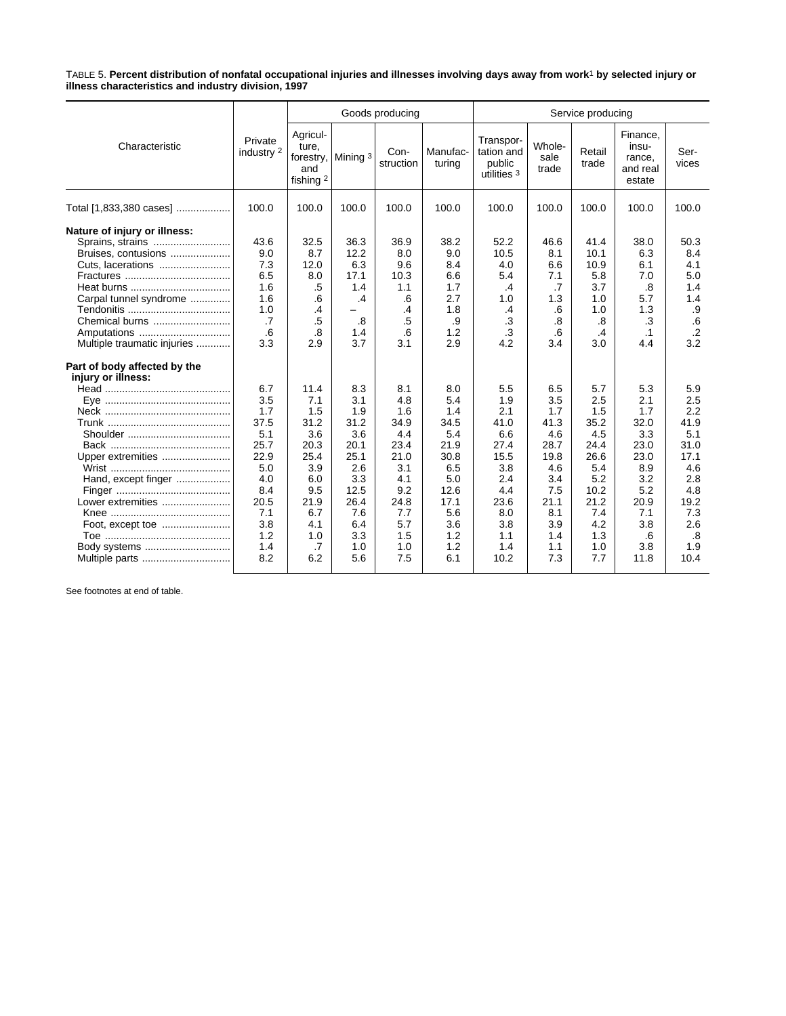TABLE 5. **Percent distribution of nonfatal occupational injuries and illnesses involving days away from work**1 **by selected injury or illness characteristics and industry division, 1997**

|                                                                                                                                                                                                                                                                                          |                                                                                                                                            |                                                                                                                                           |                                                                                                                                        | Goods producing                                                                                                                           |                                                                                                                                              | Service producing                                                                                                                              |                                                                                                                                          |                                                                                                                                               |                                                                                                                                                  |                                                                                                                                                |  |
|------------------------------------------------------------------------------------------------------------------------------------------------------------------------------------------------------------------------------------------------------------------------------------------|--------------------------------------------------------------------------------------------------------------------------------------------|-------------------------------------------------------------------------------------------------------------------------------------------|----------------------------------------------------------------------------------------------------------------------------------------|-------------------------------------------------------------------------------------------------------------------------------------------|----------------------------------------------------------------------------------------------------------------------------------------------|------------------------------------------------------------------------------------------------------------------------------------------------|------------------------------------------------------------------------------------------------------------------------------------------|-----------------------------------------------------------------------------------------------------------------------------------------------|--------------------------------------------------------------------------------------------------------------------------------------------------|------------------------------------------------------------------------------------------------------------------------------------------------|--|
| Characteristic                                                                                                                                                                                                                                                                           | Private<br>industry 2                                                                                                                      | Agricul-<br>ture.<br>forestry,<br>and<br>fishing 2                                                                                        | Mining $3$                                                                                                                             | Con-<br>struction                                                                                                                         | Manufac-<br>turing                                                                                                                           | Transpor-<br>tation and<br>public<br>utilities $3$                                                                                             | Whole-<br>sale<br>trade                                                                                                                  | Retail<br>trade                                                                                                                               | Finance,<br>insu-<br>rance,<br>and real<br>estate                                                                                                | Ser-<br>vices                                                                                                                                  |  |
| Total [1,833,380 cases]                                                                                                                                                                                                                                                                  | 100.0                                                                                                                                      | 100.0                                                                                                                                     | 100.0                                                                                                                                  | 100.0                                                                                                                                     | 100.0                                                                                                                                        | 100.0                                                                                                                                          | 100.0                                                                                                                                    | 100.0                                                                                                                                         | 100.0                                                                                                                                            | 100.0                                                                                                                                          |  |
| Nature of injury or illness:<br>Sprains, strains<br>Bruises, contusions<br>Cuts, lacerations<br>Carpal tunnel syndrome<br>Chemical burns<br>Amputations<br>Multiple traumatic injuries<br>Part of body affected by the<br>injury or illness:<br>Upper extremities<br>Hand, except finger | 43.6<br>9.0<br>7.3<br>6.5<br>1.6<br>1.6<br>1.0<br>.7<br>.6<br>3.3<br>6.7<br>3.5<br>1.7<br>37.5<br>5.1<br>25.7<br>22.9<br>5.0<br>4.0<br>8.4 | 32.5<br>8.7<br>12.0<br>8.0<br>.5<br>.6<br>.4<br>.5<br>.8<br>2.9<br>11.4<br>7.1<br>1.5<br>31.2<br>3.6<br>20.3<br>25.4<br>3.9<br>6.0<br>9.5 | 36.3<br>12.2<br>6.3<br>17.1<br>1.4<br>.4<br>.8<br>1.4<br>3.7<br>8.3<br>3.1<br>1.9<br>31.2<br>3.6<br>20.1<br>25.1<br>2.6<br>3.3<br>12.5 | 36.9<br>8.0<br>9.6<br>10.3<br>1.1<br>.6<br>.4<br>.5<br>.6<br>3.1<br>8.1<br>4.8<br>1.6<br>34.9<br>4.4<br>23.4<br>21.0<br>3.1<br>4.1<br>9.2 | 38.2<br>9.0<br>8.4<br>6.6<br>1.7<br>2.7<br>1.8<br>.9<br>1.2<br>2.9<br>8.0<br>5.4<br>1.4<br>34.5<br>5.4<br>21.9<br>30.8<br>6.5<br>5.0<br>12.6 | 52.2<br>10.5<br>4.0<br>5.4<br>.4<br>1.0<br>$\cdot$<br>.3<br>.3<br>4.2<br>5.5<br>1.9<br>2.1<br>41.0<br>6.6<br>27.4<br>15.5<br>3.8<br>2.4<br>4.4 | 46.6<br>8.1<br>6.6<br>7.1<br>.7<br>1.3<br>.6<br>.8<br>.6<br>3.4<br>6.5<br>3.5<br>1.7<br>41.3<br>4.6<br>28.7<br>19.8<br>4.6<br>3.4<br>7.5 | 41.4<br>10.1<br>10.9<br>5.8<br>3.7<br>1.0<br>1.0<br>.8<br>.4<br>3.0<br>5.7<br>2.5<br>1.5<br>35.2<br>4.5<br>24.4<br>26.6<br>5.4<br>5.2<br>10.2 | 38.0<br>6.3<br>6.1<br>7.0<br>.8<br>5.7<br>1.3<br>.3<br>$\cdot$ 1<br>4.4<br>5.3<br>2.1<br>1.7<br>32.0<br>3.3<br>23.0<br>23.0<br>8.9<br>3.2<br>5.2 | 50.3<br>8.4<br>4.1<br>5.0<br>1.4<br>1.4<br>.9<br>.6<br>$\cdot$<br>3.2<br>5.9<br>2.5<br>2.2<br>41.9<br>5.1<br>31.0<br>17.1<br>4.6<br>2.8<br>4.8 |  |
| Lower extremities<br>Body systems<br>Multiple parts                                                                                                                                                                                                                                      | 20.5<br>7.1<br>3.8<br>1.2<br>1.4<br>8.2                                                                                                    | 21.9<br>6.7<br>4.1<br>1.0<br>.7<br>6.2                                                                                                    | 26.4<br>7.6<br>6.4<br>3.3<br>1.0<br>5.6                                                                                                | 24.8<br>7.7<br>5.7<br>1.5<br>1.0<br>7.5                                                                                                   | 17.1<br>5.6<br>3.6<br>1.2<br>1.2<br>6.1                                                                                                      | 23.6<br>8.0<br>3.8<br>1.1<br>1.4<br>10.2                                                                                                       | 21.1<br>8.1<br>3.9<br>1.4<br>1.1<br>7.3                                                                                                  | 21.2<br>7.4<br>4.2<br>1.3<br>1.0<br>7.7                                                                                                       | 20.9<br>7.1<br>3.8<br>.6<br>3.8<br>11.8                                                                                                          | 19.2<br>7.3<br>2.6<br>.8<br>1.9<br>10.4                                                                                                        |  |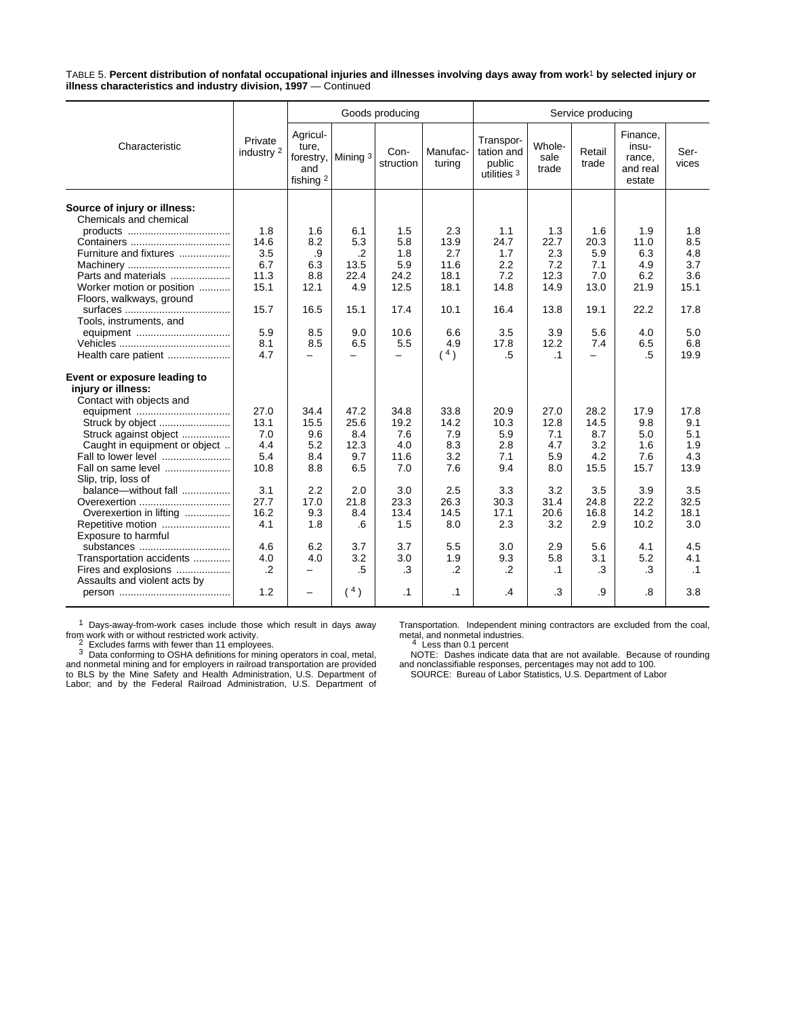TABLE 5. **Percent distribution of nonfatal occupational injuries and illnesses involving days away from work**1 **by selected injury or illness characteristics and industry division, 1997** — Continued

|                                                                                |                       |                                                    |                          | Goods producing          |                    | Service producing                                |                         |                          |                                                   |               |  |
|--------------------------------------------------------------------------------|-----------------------|----------------------------------------------------|--------------------------|--------------------------|--------------------|--------------------------------------------------|-------------------------|--------------------------|---------------------------------------------------|---------------|--|
| Characteristic                                                                 | Private<br>industry 2 | Agricul-<br>ture.<br>forestry,<br>and<br>fishing 2 | Mining 3                 | Con-<br>struction        | Manufac-<br>turina | Transpor-<br>tation and<br>public<br>utilities 3 | Whole-<br>sale<br>trade | Retail<br>trade          | Finance.<br>insu-<br>rance,<br>and real<br>estate | Ser-<br>vices |  |
| Source of injury or illness:<br>Chemicals and chemical                         |                       |                                                    |                          |                          |                    |                                                  |                         |                          |                                                   |               |  |
|                                                                                | 1.8                   | 1.6                                                | 6.1                      | 1.5                      | 2.3                | 1.1                                              | 1.3                     | 1.6                      | 1.9                                               | 1.8           |  |
|                                                                                | 14.6                  | 8.2                                                | 5.3                      | 5.8                      | 13.9               | 24.7                                             | 22.7                    | 20.3                     | 11.0                                              | 8.5           |  |
| Furniture and fixtures                                                         | 3.5                   | .9                                                 | $\cdot$ .2               | 1.8                      | 2.7                | 1.7                                              | 2.3                     | 5.9                      | 6.3                                               | 4.8           |  |
|                                                                                | 6.7                   | 6.3                                                | 13.5                     | 5.9                      | 11.6               | 2.2                                              | 7.2                     | 7.1                      | 4.9                                               | 3.7           |  |
| Parts and materials                                                            | 11.3                  | 8.8                                                | 22.4                     | 24.2                     | 18.1               | 7.2                                              | 12.3                    | 7.0                      | 6.2                                               | 3.6           |  |
| Worker motion or position<br>Floors, walkways, ground                          | 15.1                  | 12.1                                               | 4.9                      | 12.5                     | 18.1               | 14.8                                             | 14.9                    | 13.0                     | 21.9                                              | 15.1          |  |
| Tools, instruments, and                                                        | 15.7                  | 16.5                                               | 15.1                     | 17.4                     | 10.1               | 16.4                                             | 13.8                    | 19.1                     | 22.2                                              | 17.8          |  |
| equipment                                                                      | 5.9                   | 8.5                                                | 9.0                      | 10.6                     | 6.6                | 3.5                                              | 3.9                     | 5.6                      | 4.0                                               | 5.0           |  |
|                                                                                | 8.1                   | 8.5                                                | 6.5                      | 5.5                      | 4.9                | 17.8                                             | 12.2                    | 7.4                      | 6.5                                               | 6.8           |  |
| Health care patient                                                            | 4.7                   | —                                                  | $\overline{\phantom{0}}$ | $\overline{\phantom{0}}$ | 4)                 | $.5\,$                                           | $\cdot$ 1               | $\overline{\phantom{0}}$ | .5                                                | 19.9          |  |
| Event or exposure leading to<br>injury or illness:<br>Contact with objects and |                       |                                                    |                          |                          |                    |                                                  |                         |                          |                                                   |               |  |
| equipment                                                                      | 27.0                  | 34.4                                               | 47.2                     | 34.8                     | 33.8               | 20.9                                             | 27.0                    | 28.2                     | 17.9                                              | 17.8          |  |
| Struck by object                                                               | 13.1                  | 15.5                                               | 25.6                     | 19.2                     | 14.2               | 10.3                                             | 12.8                    | 14.5                     | 9.8                                               | 9.1           |  |
| Struck against object                                                          | 7.0                   | 9.6                                                | 8.4                      | 7.6                      | 7.9                | 5.9                                              | 7.1                     | 8.7                      | 5.0                                               | 5.1           |  |
| Caught in equipment or object                                                  | 4.4                   | 5.2                                                | 12.3                     | 4.0                      | 8.3                | 2.8                                              | 4.7                     | 3.2                      | 1.6                                               | 1.9           |  |
| Fall to lower level                                                            | 5.4                   | 8.4                                                | 9.7                      | 11.6                     | 3.2                | 7.1                                              | 5.9                     | 4.2                      | 7.6                                               | 4.3           |  |
| Fall on same level                                                             | 10.8                  | 8.8                                                | 6.5                      | 7.0                      | 7.6                | 9.4                                              | 8.0                     | 15.5                     | 15.7                                              | 13.9          |  |
| Slip, trip, loss of<br>balance-without fall                                    | 3.1                   | 2.2                                                |                          |                          | 2.5                |                                                  | 3.2                     | 3.5                      |                                                   | 3.5           |  |
|                                                                                | 27.7                  | 17.0                                               | 2.0<br>21.8              | 3.0<br>23.3              | 26.3               | 3.3<br>30.3                                      | 31.4                    | 24.8                     | 3.9<br>22.2                                       | 32.5          |  |
| Overexertion in lifting                                                        | 16.2                  | 9.3                                                | 8.4                      | 13.4                     | 14.5               | 17.1                                             | 20.6                    | 16.8                     | 14.2                                              | 18.1          |  |
|                                                                                | 4.1                   | 1.8                                                | .6                       | 1.5                      | 8.0                | 2.3                                              | 3.2                     | 2.9                      | 10.2                                              | 3.0           |  |
| Repetitive motion<br>Exposure to harmful                                       |                       |                                                    |                          |                          |                    |                                                  |                         |                          |                                                   |               |  |
| substances                                                                     | 4.6                   | 6.2                                                | 3.7                      | 3.7                      | 5.5                | 3.0                                              | 2.9                     | 5.6                      | 4.1                                               | 4.5           |  |
| Transportation accidents                                                       | 4.0                   | 4.0                                                | 3.2                      | 3.0                      | 1.9                | 9.3                                              | 5.8                     | 3.1                      | 5.2                                               | 4.1           |  |
| Fires and explosions<br>Assaults and violent acts by                           | $\cdot$ .2            | -                                                  | .5                       | .3                       | $\cdot$ .2         | $\cdot$                                          | $\cdot$ 1               | .3                       | .3                                                | $\cdot$ 1     |  |
|                                                                                | 1.2                   | $\overline{\phantom{0}}$                           | (4)                      | $\cdot$ 1                | $\cdot$ 1          | $\overline{A}$                                   | .3                      | .9                       | .8                                                | 3.8           |  |

<sup>1</sup> Days-away-from-work cases include those which result in days away

from work with or without restricted work activity.<br>
<sup>2</sup> Excludes farms with fewer than 11 employees.<br>
<sup>3</sup> Data conforming to OSHA definitions for mining operators in coal, metal,<br>
and nonmetal mining and for employers in

Transportation. Independent mining contractors are excluded from the coal,<br>metal, and nonmetal industries.<br><sup>4</sup> Less than 0.1 percent<br><sup>4</sup> Less than 0.1 percent<br>NOTE: Dashes indicate data that are not available. Because of r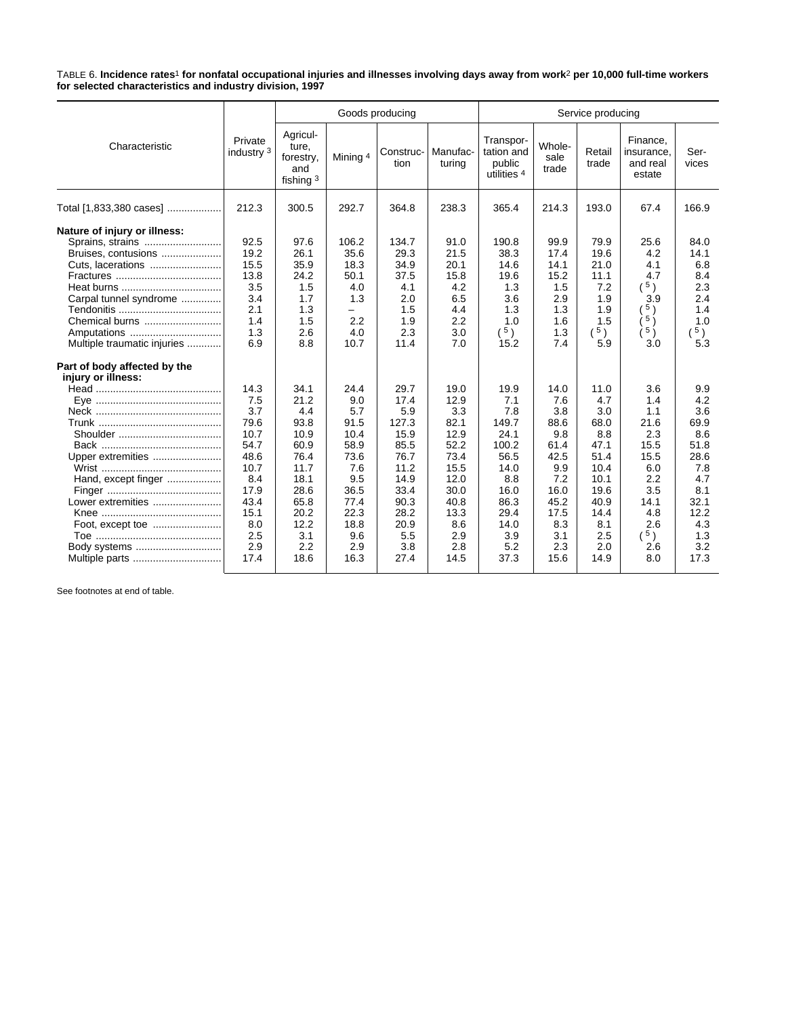TABLE 6. **Incidence rates**1 **for nonfatal occupational injuries and illnesses involving days away from work**2 **per 10,000 full-time workers for selected characteristics and industry division, 1997**

|                                                                                                                                                                                                   |                                                                                                                        |                                                                                                                           |                                                                                                                        | Goods producing                                                                                                            |                                                                                                                          | Service producing                                                                                                         |                                                                                                                      |                                                                                                                        |                                                                                                                       |                                                                                                                    |  |
|---------------------------------------------------------------------------------------------------------------------------------------------------------------------------------------------------|------------------------------------------------------------------------------------------------------------------------|---------------------------------------------------------------------------------------------------------------------------|------------------------------------------------------------------------------------------------------------------------|----------------------------------------------------------------------------------------------------------------------------|--------------------------------------------------------------------------------------------------------------------------|---------------------------------------------------------------------------------------------------------------------------|----------------------------------------------------------------------------------------------------------------------|------------------------------------------------------------------------------------------------------------------------|-----------------------------------------------------------------------------------------------------------------------|--------------------------------------------------------------------------------------------------------------------|--|
| Characteristic                                                                                                                                                                                    | Private<br>industry 3                                                                                                  | Agricul-<br>ture,<br>forestry,<br>and<br>fishing $3$                                                                      | Mining 4                                                                                                               | Construc-<br>tion                                                                                                          | Manufac-<br>turing                                                                                                       | Transpor-<br>tation and<br>public<br>utilities 4                                                                          | Whole-<br>sale<br>trade                                                                                              | Retail<br>trade                                                                                                        | Finance,<br>insurance,<br>and real<br>estate                                                                          | Ser-<br>vices                                                                                                      |  |
| Total [1,833,380 cases]                                                                                                                                                                           | 212.3                                                                                                                  | 300.5                                                                                                                     | 292.7                                                                                                                  | 364.8                                                                                                                      | 238.3                                                                                                                    | 365.4                                                                                                                     | 214.3                                                                                                                | 193.0                                                                                                                  | 67.4                                                                                                                  | 166.9                                                                                                              |  |
| Nature of injury or illness:<br>Sprains, strains<br>Bruises, contusions<br>Carpal tunnel syndrome<br>Chemical burns<br>Amputations<br>Multiple traumatic injuries<br>Part of body affected by the | 92.5<br>19.2<br>15.5<br>13.8<br>3.5<br>3.4<br>2.1<br>1.4<br>1.3<br>6.9                                                 | 97.6<br>26.1<br>35.9<br>24.2<br>1.5<br>1.7<br>1.3<br>1.5<br>2.6<br>8.8                                                    | 106.2<br>35.6<br>18.3<br>50.1<br>4.0<br>1.3<br>-<br>2.2<br>4.0<br>10.7                                                 | 134.7<br>29.3<br>34.9<br>37.5<br>4.1<br>2.0<br>1.5<br>1.9<br>2.3<br>11.4                                                   | 91.0<br>21.5<br>20.1<br>15.8<br>4.2<br>6.5<br>4.4<br>2.2<br>3.0<br>7.0                                                   | 190.8<br>38.3<br>14.6<br>19.6<br>1.3<br>3.6<br>1.3<br>1.0<br>$\left( \begin{array}{c} 5 \end{array} \right)$<br>15.2      | 99.9<br>17.4<br>14.1<br>15.2<br>1.5<br>2.9<br>1.3<br>1.6<br>1.3<br>7.4                                               | 79.9<br>19.6<br>21.0<br>11.1<br>7.2<br>1.9<br>1.9<br>1.5<br>$(^{5})$<br>5.9                                            | 25.6<br>4.2<br>4.1<br>4.7<br>(5)<br>3.9<br>5)<br>5)<br>5)<br>3.0                                                      | 84.0<br>14.1<br>6.8<br>8.4<br>2.3<br>2.4<br>1.4<br>1.0<br>5)<br>5.3                                                |  |
| injury or illness:<br>Upper extremities<br>Hand, except finger<br>Lower extremities<br>Body systems                                                                                               | 14.3<br>7.5<br>3.7<br>79.6<br>10.7<br>54.7<br>48.6<br>10.7<br>8.4<br>17.9<br>43.4<br>15.1<br>8.0<br>2.5<br>2.9<br>17.4 | 34.1<br>21.2<br>4.4<br>93.8<br>10.9<br>60.9<br>76.4<br>11.7<br>18.1<br>28.6<br>65.8<br>20.2<br>12.2<br>3.1<br>2.2<br>18.6 | 24.4<br>9.0<br>5.7<br>91.5<br>10.4<br>58.9<br>73.6<br>7.6<br>9.5<br>36.5<br>77.4<br>22.3<br>18.8<br>9.6<br>2.9<br>16.3 | 29.7<br>17.4<br>5.9<br>127.3<br>15.9<br>85.5<br>76.7<br>11.2<br>14.9<br>33.4<br>90.3<br>28.2<br>20.9<br>5.5<br>3.8<br>27.4 | 19.0<br>12.9<br>3.3<br>82.1<br>12.9<br>52.2<br>73.4<br>15.5<br>12.0<br>30.0<br>40.8<br>13.3<br>8.6<br>2.9<br>2.8<br>14.5 | 19.9<br>7.1<br>7.8<br>149.7<br>24.1<br>100.2<br>56.5<br>14.0<br>8.8<br>16.0<br>86.3<br>29.4<br>14.0<br>3.9<br>5.2<br>37.3 | 14.0<br>7.6<br>3.8<br>88.6<br>9.8<br>61.4<br>42.5<br>9.9<br>7.2<br>16.0<br>45.2<br>17.5<br>8.3<br>3.1<br>2.3<br>15.6 | 11.0<br>4.7<br>3.0<br>68.0<br>8.8<br>47.1<br>51.4<br>10.4<br>10.1<br>19.6<br>40.9<br>14.4<br>8.1<br>2.5<br>2.0<br>14.9 | 3.6<br>1.4<br>1.1<br>21.6<br>2.3<br>15.5<br>15.5<br>6.0<br>2.2<br>3.5<br>14.1<br>4.8<br>2.6<br>$(^{5})$<br>2.6<br>8.0 | 9.9<br>4.2<br>3.6<br>69.9<br>8.6<br>51.8<br>28.6<br>7.8<br>4.7<br>8.1<br>32.1<br>12.2<br>4.3<br>1.3<br>3.2<br>17.3 |  |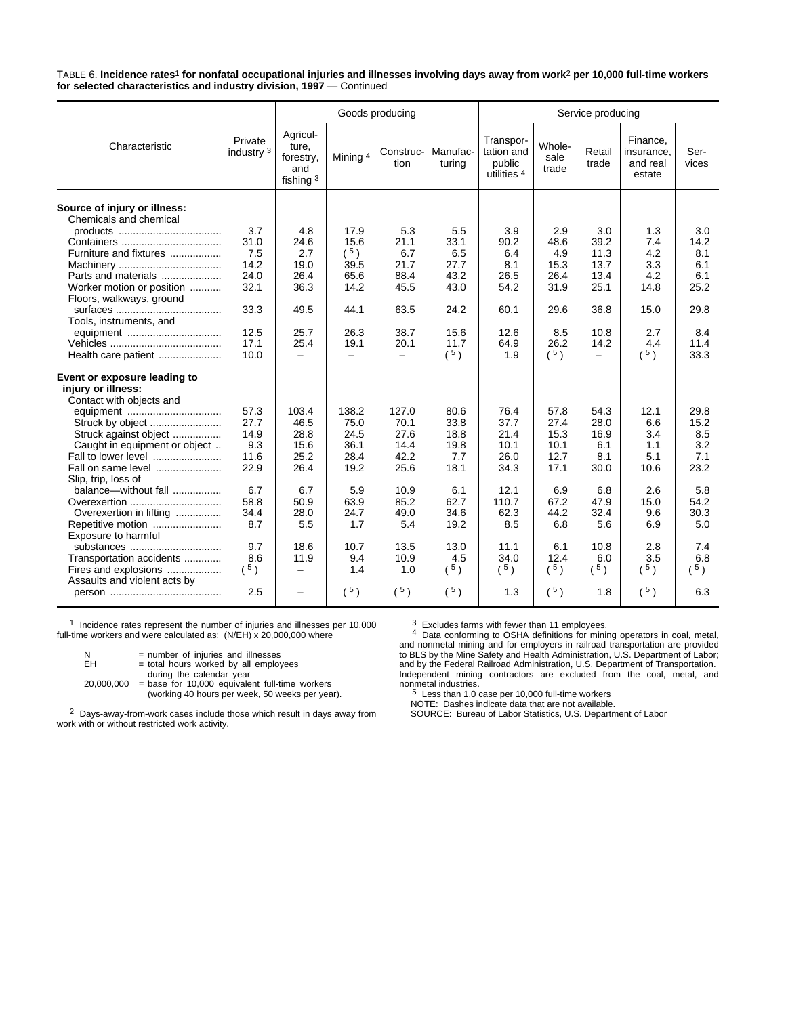TABLE 6. **Incidence rates**1 **for nonfatal occupational injuries and illnesses involving days away from work**2 **per 10,000 full-time workers for selected characteristics and industry division, 1997** — Continued

|                                                        |                       |                                                    |               | Goods producing          |                    | Service producing                                           |                         |                          |                                              |                                                 |  |
|--------------------------------------------------------|-----------------------|----------------------------------------------------|---------------|--------------------------|--------------------|-------------------------------------------------------------|-------------------------|--------------------------|----------------------------------------------|-------------------------------------------------|--|
| Characteristic                                         | Private<br>industry 3 | Agricul-<br>ture,<br>forestry,<br>and<br>fishing 3 | Mining 4      | Construc-<br>tion        | Manufac-<br>turing | Transpor-<br>tation and<br>public<br>utilities <sup>4</sup> | Whole-<br>sale<br>trade | Retail<br>trade          | Finance.<br>insurance,<br>and real<br>estate | Ser-<br>vices                                   |  |
| Source of injury or illness:<br>Chemicals and chemical |                       |                                                    |               |                          |                    |                                                             |                         |                          |                                              |                                                 |  |
|                                                        | 3.7                   | 4.8                                                | 17.9          | 5.3                      | 5.5                | 3.9                                                         | 2.9                     | 3.0                      | 1.3                                          | 3.0                                             |  |
|                                                        | 31.0                  | 24.6                                               | 15.6          | 21.1                     | 33.1               | 90.2                                                        | 48.6                    | 39.2                     | 7.4                                          | 14.2                                            |  |
| Furniture and fixtures                                 | 7.5                   | 2.7                                                | $(^{5})$      | 6.7                      | 6.5                | 6.4                                                         | 4.9                     | 11.3                     | 4.2                                          | 8.1                                             |  |
|                                                        | 14.2                  | 19.0                                               | 39.5          | 21.7                     | 27.7               | 8.1                                                         | 15.3                    | 13.7                     | 3.3                                          | 6.1                                             |  |
| Parts and materials                                    | 24.0                  | 26.4                                               | 65.6          | 88.4                     | 43.2               | 26.5                                                        | 26.4                    | 13.4                     | 4.2                                          | 6.1                                             |  |
| Worker motion or position<br>Floors, walkways, ground  | 32.1                  | 36.3                                               | 14.2          | 45.5                     | 43.0               | 54.2                                                        | 31.9                    | 25.1                     | 14.8                                         | 25.2                                            |  |
| Tools, instruments, and                                | 33.3                  | 49.5                                               | 44.1          | 63.5                     | 24.2               | 60.1                                                        | 29.6                    | 36.8                     | 15.0                                         | 29.8                                            |  |
| equipment                                              | 12.5                  | 25.7                                               | 26.3          | 38.7                     | 15.6               | 12.6                                                        | 8.5                     | 10.8                     | 2.7                                          | 8.4                                             |  |
|                                                        | 17.1                  | 25.4                                               | 19.1          | 20.1                     | 11.7               | 64.9                                                        | 26.2                    | 14.2                     | 4.4                                          | 11.4                                            |  |
| Health care patient                                    | 10.0                  | $\overline{\phantom{0}}$                           | $\equiv$      | $\overline{\phantom{0}}$ | $(^{5})$           | 1.9                                                         | $(^{5})$                | $\overline{\phantom{0}}$ | $(^{5})$                                     | 33.3                                            |  |
| Event or exposure leading to<br>injury or illness:     |                       |                                                    |               |                          |                    |                                                             |                         |                          |                                              |                                                 |  |
| Contact with objects and                               |                       |                                                    |               |                          |                    |                                                             |                         |                          |                                              |                                                 |  |
| equipment                                              | 57.3<br>27.7          | 103.4<br>46.5                                      | 138.2<br>75.0 | 127.0<br>70.1            | 80.6               | 76.4<br>37.7                                                | 57.8<br>27.4            | 54.3<br>28.0             | 12.1<br>6.6                                  | 29.8<br>15.2                                    |  |
| Struck by object                                       | 14.9                  | 28.8                                               | 24.5          | 27.6                     | 33.8<br>18.8       | 21.4                                                        | 15.3                    |                          | 3.4                                          | 8.5                                             |  |
| Struck against object<br>Caught in equipment or object | 9.3                   | 15.6                                               | 36.1          | 14.4                     | 19.8               | 10.1                                                        | 10.1                    | 16.9<br>6.1              | 1.1                                          | 3.2                                             |  |
| Fall to lower level                                    | 11.6                  | 25.2                                               | 28.4          | 42.2                     | 7.7                | 26.0                                                        | 12.7                    | 8.1                      | 5.1                                          | 7.1                                             |  |
| Fall on same level                                     | 22.9                  | 26.4                                               | 19.2          | 25.6                     | 18.1               | 34.3                                                        | 17.1                    | 30.0                     | 10.6                                         | 23.2                                            |  |
| Slip, trip, loss of                                    |                       |                                                    |               |                          |                    |                                                             |                         |                          |                                              |                                                 |  |
| balance-without fall                                   | 6.7                   | 6.7                                                | 5.9           | 10.9                     | 6.1                | 12.1                                                        | 6.9                     | 6.8                      | 2.6                                          | 5.8                                             |  |
| Overexertion                                           | 58.8                  | 50.9                                               | 63.9          | 85.2                     | 62.7               | 110.7                                                       | 67.2                    | 47.9                     | 15.0                                         | 54.2                                            |  |
| Overexertion in lifting                                | 34.4                  | 28.0                                               | 24.7          | 49.0                     | 34.6               | 62.3                                                        | 44.2                    | 32.4                     | 9.6                                          | 30.3                                            |  |
| Repetitive motion<br>Exposure to harmful               | 8.7                   | 5.5                                                | 1.7           | 5.4                      | 19.2               | 8.5                                                         | 6.8                     | 5.6                      | 6.9                                          | 5.0                                             |  |
| substances                                             | 9.7                   | 18.6                                               | 10.7          | 13.5                     | 13.0               | 11.1                                                        | 6.1                     | 10.8                     | 2.8                                          | 7.4                                             |  |
| Transportation accidents                               | 8.6                   | 11.9                                               | 9.4           | 10.9                     | 4.5                | 34.0                                                        | 12.4                    | 6.0                      | 3.5                                          | 6.8                                             |  |
| Fires and explosions                                   | (5)                   | -                                                  | 1.4           | 1.0                      | $(^{5})$           | $(^{5})$                                                    | $(^{5})$                | $(^{5})$                 | $(^{5})$                                     | $\left( \begin{array}{c} 5 \end{array} \right)$ |  |
| Assaults and violent acts by                           |                       |                                                    |               |                          |                    |                                                             |                         |                          |                                              |                                                 |  |
|                                                        | 2.5                   | -                                                  | $(^{5})$      | (5)                      | $(^{5})$           | 1.3                                                         | $(^{5})$                | 1.8                      | (5)                                          | 6.3                                             |  |

1 Incidence rates represent the number of injuries and illnesses per 10,000 full-time workers and were calculated as: (N/EH) x 20,000,000 where

| N          | $=$ number of injuries and illnesses             |
|------------|--------------------------------------------------|
| FH.        | $=$ total hours worked by all employees          |
|            | during the calendar year                         |
| 20.000.000 | $=$ base for 10,000 equivalent full-time workers |
|            | (working 40 hours per week, 50 weeks per year).  |

2 Days-away-from-work cases include those which result in days away from work with or without restricted work activity.

<sup>3</sup> Excludes farms with fewer than 11 employees.<br><sup>4</sup> Data conforming to OSHA definitions for mining operators in coal, metal,<br>and nonmetal mining and for employers in railroad transportation are provided<br>to BLS by the Mine Independent mining contractors are excluded from the coal, metal, and

nonmetal industries.<br><sup>5</sup> Less than 1.0 case per 10,000 full-time workers<br>NOTE: Dashes indicate data that are not available.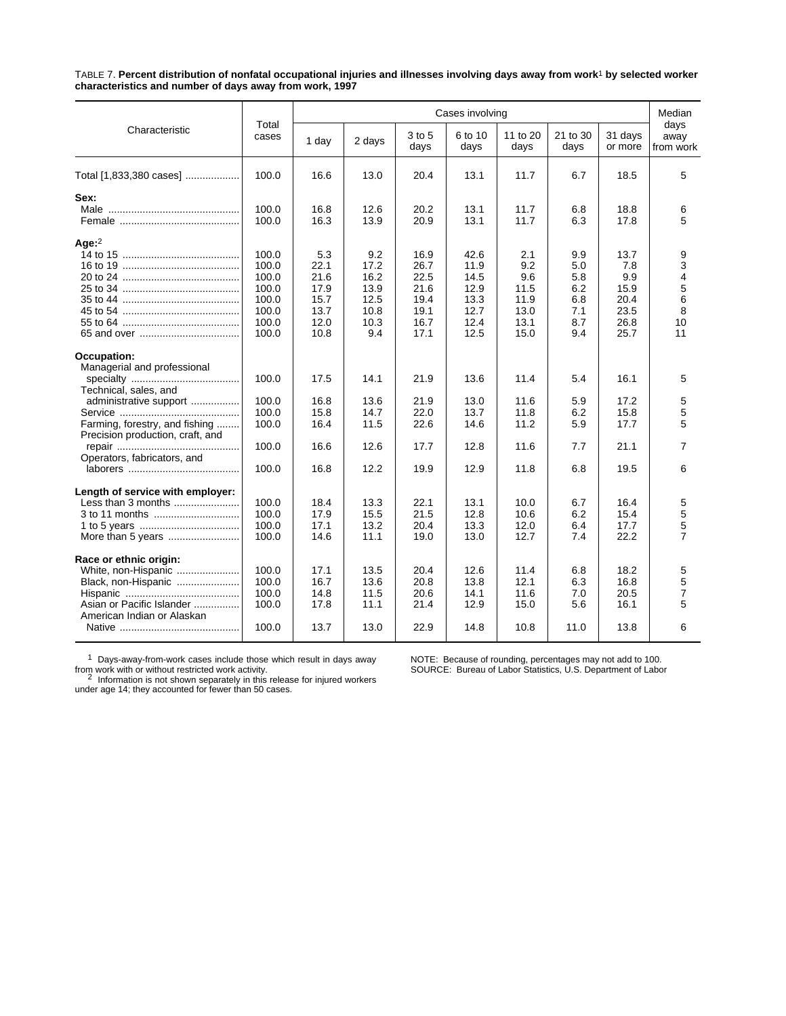TABLE 7. **Percent distribution of nonfatal occupational injuries and illnesses involving days away from work**1 **by selected worker characteristics and number of days away from work, 1997**

|                                                                                                   |                                                                      |                                                             |                                                            |                                                              |                                                              | Cases involving                                           |                                                      |                                                            |                                                  |  |  |
|---------------------------------------------------------------------------------------------------|----------------------------------------------------------------------|-------------------------------------------------------------|------------------------------------------------------------|--------------------------------------------------------------|--------------------------------------------------------------|-----------------------------------------------------------|------------------------------------------------------|------------------------------------------------------------|--------------------------------------------------|--|--|
| Characteristic                                                                                    | Total<br>cases                                                       | 1 day                                                       | 2 days                                                     | 3 to 5<br>days                                               | 6 to 10<br>days                                              | 11 to 20<br>days                                          | 21 to 30<br>days                                     | 31 days<br>or more                                         | days<br>away<br>from work                        |  |  |
| Total [1,833,380 cases]                                                                           | 100.0                                                                | 16.6                                                        | 13.0                                                       | 20.4                                                         | 13.1                                                         | 11.7                                                      | 6.7                                                  | 18.5                                                       | 5                                                |  |  |
| Sex:                                                                                              | 100.0<br>100.0                                                       | 16.8<br>16.3                                                | 12.6<br>13.9                                               | 20.2<br>20.9                                                 | 13.1<br>13.1                                                 | 11.7<br>11.7                                              | 6.8<br>6.3                                           | 18.8<br>17.8                                               | 6<br>5                                           |  |  |
| Age: $2$                                                                                          | 100.0<br>100.0<br>100.0<br>100.0<br>100.0<br>100.0<br>100.0<br>100.0 | 5.3<br>22.1<br>21.6<br>17.9<br>15.7<br>13.7<br>12.0<br>10.8 | 9.2<br>17.2<br>16.2<br>13.9<br>12.5<br>10.8<br>10.3<br>9.4 | 16.9<br>26.7<br>22.5<br>21.6<br>19.4<br>19.1<br>16.7<br>17.1 | 42.6<br>11.9<br>14.5<br>12.9<br>13.3<br>12.7<br>12.4<br>12.5 | 2.1<br>9.2<br>9.6<br>11.5<br>11.9<br>13.0<br>13.1<br>15.0 | 9.9<br>5.0<br>5.8<br>6.2<br>6.8<br>7.1<br>8.7<br>9.4 | 13.7<br>7.8<br>9.9<br>15.9<br>20.4<br>23.5<br>26.8<br>25.7 | 9<br>3<br>4<br>$\mathbf 5$<br>6<br>8<br>10<br>11 |  |  |
| Occupation:<br>Managerial and professional                                                        | 100.0                                                                | 17.5                                                        | 14.1                                                       | 21.9                                                         | 13.6                                                         | 11.4                                                      | 5.4                                                  | 16.1                                                       | 5                                                |  |  |
| Technical, sales, and<br>administrative support<br>Farming, forestry, and fishing                 | 100.0<br>100.0<br>100.0                                              | 16.8<br>15.8<br>16.4                                        | 13.6<br>14.7<br>11.5                                       | 21.9<br>22.0<br>22.6                                         | 13.0<br>13.7<br>14.6                                         | 11.6<br>11.8<br>11.2                                      | 5.9<br>6.2<br>5.9                                    | 17.2<br>15.8<br>17.7                                       | 5<br>5<br>5                                      |  |  |
| Precision production, craft, and<br>Operators, fabricators, and                                   | 100.0                                                                | 16.6                                                        | 12.6                                                       | 17.7                                                         | 12.8                                                         | 11.6                                                      | 7.7                                                  | 21.1                                                       | $\overline{7}$                                   |  |  |
|                                                                                                   | 100.0                                                                | 16.8                                                        | 12.2                                                       | 19.9                                                         | 12.9                                                         | 11.8                                                      | 6.8                                                  | 19.5                                                       | 6                                                |  |  |
| Length of service with employer:<br>Less than 3 months                                            | 100.0<br>100.0<br>100.0<br>100.0                                     | 18.4<br>17.9<br>17.1<br>14.6                                | 13.3<br>15.5<br>13.2<br>11.1                               | 22.1<br>21.5<br>20.4<br>19.0                                 | 13.1<br>12.8<br>13.3<br>13.0                                 | 10.0<br>10.6<br>12.0<br>12.7                              | 6.7<br>6.2<br>6.4<br>7.4                             | 16.4<br>15.4<br>17.7<br>22.2                               | 5<br>5<br>$\mathbf 5$<br>$\overline{7}$          |  |  |
| Race or ethnic origin:<br>White, non-Hispanic<br>Black, non-Hispanic<br>Asian or Pacific Islander | 100.0<br>100.0<br>100.0<br>100.0                                     | 17.1<br>16.7<br>14.8<br>17.8                                | 13.5<br>13.6<br>11.5<br>11.1                               | 20.4<br>20.8<br>20.6<br>21.4                                 | 12.6<br>13.8<br>14.1<br>12.9                                 | 11.4<br>12.1<br>11.6<br>15.0                              | 6.8<br>6.3<br>7.0<br>5.6                             | 18.2<br>16.8<br>20.5<br>16.1                               | 5<br>5<br>$\overline{7}$<br>5                    |  |  |
| American Indian or Alaskan                                                                        | 100.0                                                                | 13.7                                                        | 13.0                                                       | 22.9                                                         | 14.8                                                         | 10.8                                                      | 11.0                                                 | 13.8                                                       | 6                                                |  |  |

 $1$  Days-away-from-work cases include those which result in days away

from work with or without restricted work activity.<br><sup>2</sup> Information is not shown separately in this release for injured workers<br>under age 14; they accounted for fewer than 50 cases.

NOTE: Because of rounding, percentages may not add to 100. SOURCE: Bureau of Labor Statistics, U.S. Department of Labor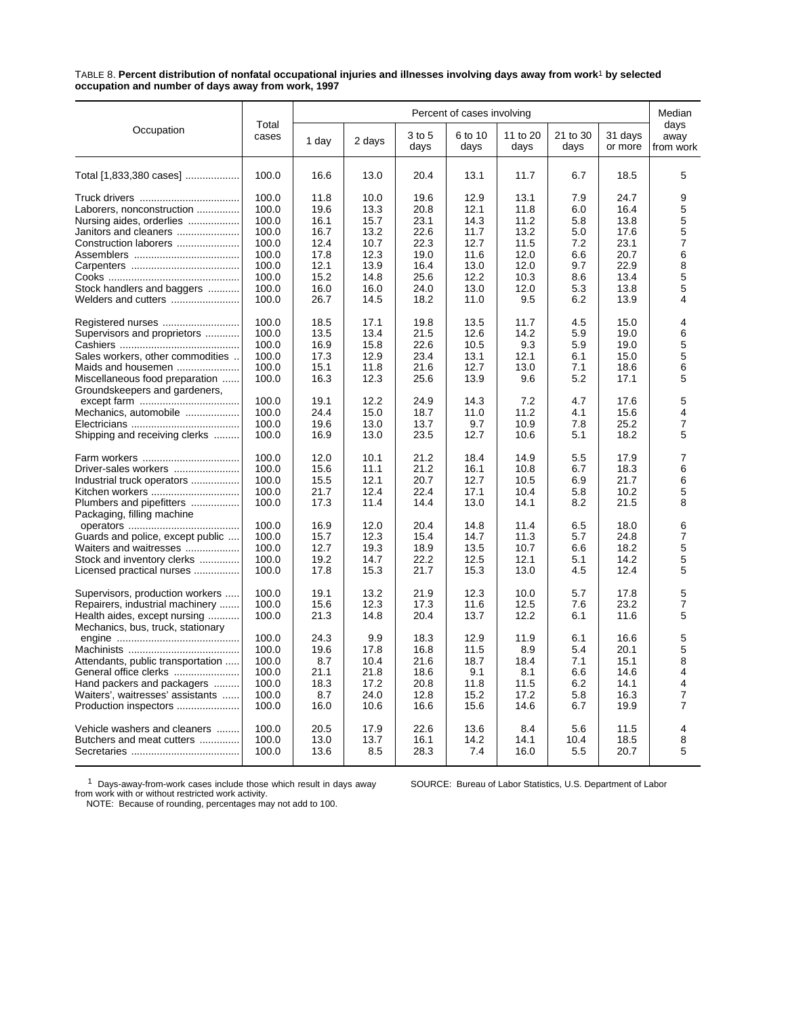TABLE 8. **Percent distribution of nonfatal occupational injuries and illnesses involving days away from work**1 **by selected occupation and number of days away from work, 1997**

|                                                                   |                |       |        |                | Percent of cases involving |                  |                  |                    | Median<br>days<br>away<br>from work |
|-------------------------------------------------------------------|----------------|-------|--------|----------------|----------------------------|------------------|------------------|--------------------|-------------------------------------|
| Occupation                                                        | Total<br>cases | 1 day | 2 days | 3 to 5<br>days | 6 to 10<br>days            | 11 to 20<br>days | 21 to 30<br>days | 31 days<br>or more |                                     |
| Total [1,833,380 cases]                                           | 100.0          | 16.6  | 13.0   | 20.4           | 13.1                       | 11.7             | 6.7              | 18.5               | 5                                   |
|                                                                   | 100.0          | 11.8  | 10.0   | 19.6           | 12.9                       | 13.1             | 7.9              | 24.7               | 9                                   |
| Laborers, nonconstruction                                         | 100.0          | 19.6  | 13.3   | 20.8           | 12.1                       | 11.8             | 6.0              | 16.4               | 5                                   |
| Nursing aides, orderlies                                          | 100.0          | 16.1  | 15.7   | 23.1           | 14.3                       | 11.2             | 5.8              | 13.8               | 5                                   |
| Janitors and cleaners                                             | 100.0          | 16.7  | 13.2   | 22.6           | 11.7                       | 13.2             | 5.0              | 17.6               | 5                                   |
| Construction laborers                                             | 100.0          | 12.4  | 10.7   | 22.3           | 12.7                       | 11.5             | 7.2              | 23.1               | $\overline{7}$                      |
|                                                                   | 100.0          | 17.8  | 12.3   | 19.0           | 11.6                       | 12.0             | 6.6              | 20.7               | 6                                   |
|                                                                   | 100.0          | 12.1  | 13.9   | 16.4           | 13.0                       | 12.0             | 9.7              | 22.9               | 8                                   |
|                                                                   | 100.0          | 15.2  | 14.8   | 25.6           | 12.2                       | 10.3             | 8.6              | 13.4               | 5                                   |
| Stock handlers and baggers                                        | 100.0          | 16.0  | 16.0   | 24.0           | 13.0                       | 12.0             | 5.3              | 13.8               | 5                                   |
| Welders and cutters                                               | 100.0          | 26.7  | 14.5   | 18.2           | 11.0                       | 9.5              | 6.2              | 13.9               | 4                                   |
| Registered nurses                                                 | 100.0          | 18.5  | 17.1   | 19.8           | 13.5                       | 11.7             | 4.5              | 15.0               | 4                                   |
| Supervisors and proprietors                                       | 100.0          | 13.5  | 13.4   | 21.5           | 12.6                       | 14.2             | 5.9              | 19.0               | 6                                   |
|                                                                   | 100.0          | 16.9  | 15.8   | 22.6           | 10.5                       | 9.3              | 5.9              | 19.0               | 5                                   |
| Sales workers, other commodities                                  | 100.0          | 17.3  | 12.9   | 23.4           | 13.1                       | 12.1             | 6.1              | 15.0               | 5                                   |
| Maids and housemen                                                | 100.0          | 15.1  | 11.8   | 21.6           | 12.7                       | 13.0             | 7.1              | 18.6               | 6                                   |
| Miscellaneous food preparation<br>Groundskeepers and gardeners,   | 100.0          | 16.3  | 12.3   | 25.6           | 13.9                       | 9.6              | 5.2              | 17.1               | 5                                   |
|                                                                   | 100.0          | 19.1  | 12.2   | 24.9           | 14.3                       | 7.2              | 4.7              | 17.6               | 5                                   |
| Mechanics, automobile                                             | 100.0          | 24.4  | 15.0   | 18.7           | 11.0                       | 11.2             | 4.1              | 15.6               | 4                                   |
|                                                                   | 100.0          | 19.6  | 13.0   | 13.7           | 9.7                        | 10.9             | 7.8              | 25.2               | 7                                   |
| Shipping and receiving clerks                                     | 100.0          | 16.9  | 13.0   | 23.5           | 12.7                       | 10.6             | 5.1              | 18.2               | 5                                   |
|                                                                   | 100.0          | 12.0  | 10.1   | 21.2           | 18.4                       | 14.9             | 5.5              | 17.9               | 7                                   |
| Driver-sales workers                                              | 100.0          | 15.6  | 11.1   | 21.2           | 16.1                       | 10.8             | 6.7              | 18.3               | 6                                   |
| Industrial truck operators                                        | 100.0          | 15.5  | 12.1   | 20.7           | 12.7                       | 10.5             | 6.9              | 21.7               | 6                                   |
| Kitchen workers                                                   | 100.0          | 21.7  | 12.4   | 22.4           | 17.1                       | 10.4             | 5.8              | 10.2               | 5                                   |
| Plumbers and pipefitters                                          | 100.0          | 17.3  | 11.4   | 14.4           | 13.0                       | 14.1             | 8.2              | 21.5               | 8                                   |
| Packaging, filling machine                                        |                |       |        |                |                            |                  |                  |                    |                                     |
|                                                                   | 100.0          | 16.9  | 12.0   | 20.4           | 14.8                       | 11.4             | 6.5              | 18.0               | 6                                   |
| Guards and police, except public                                  | 100.0          | 15.7  | 12.3   | 15.4           | 14.7                       | 11.3             | 5.7              | 24.8               | 7                                   |
| Waiters and waitresses                                            | 100.0          | 12.7  | 19.3   | 18.9           | 13.5                       | 10.7             | 6.6              | 18.2               | 5                                   |
| Stock and inventory clerks                                        | 100.0          | 19.2  | 14.7   | 22.2           | 12.5                       | 12.1             | 5.1              | 14.2               | 5                                   |
| Licensed practical nurses                                         | 100.0          | 17.8  | 15.3   | 21.7           | 15.3                       | 13.0             | 4.5              | 12.4               | 5                                   |
| Supervisors, production workers                                   | 100.0          | 19.1  | 13.2   | 21.9           | 12.3                       | 10.0             | 5.7              | 17.8               | 5                                   |
| Repairers, industrial machinery                                   | 100.0          | 15.6  | 12.3   | 17.3           | 11.6                       | 12.5             | 7.6              | 23.2               | $\overline{7}$                      |
| Health aides, except nursing<br>Mechanics, bus, truck, stationary | 100.0          | 21.3  | 14.8   | 20.4           | 13.7                       | 12.2             | 6.1              | 11.6               | 5                                   |
|                                                                   | 100.0          | 24.3  | 9.9    | 18.3           | 12.9                       | 11.9             | 6.1              | 16.6               | 5                                   |
|                                                                   | 100.0          | 19.6  | 17.8   | 16.8           | 11.5                       | 8.9              | 5.4              | 20.1               | 5                                   |
| Attendants, public transportation                                 | 100.0          | 8.7   | 10.4   | 21.6           | 18.7                       | 18.4             | 7.1              | 15.1               | 8                                   |
| General office clerks                                             | 100.0          | 21.1  | 21.8   | 18.6           | 9.1                        | 8.1              | 6.6              | 14.6               | 4                                   |
| Hand packers and packagers                                        | 100.0          | 18.3  | 17.2   | 20.8           | 11.8                       | 11.5             | 6.2              | 14.1               | 4                                   |
| Waiters', waitresses' assistants                                  | 100.0          | 8.7   | 24.0   | 12.8           | 15.2                       | 17.2             | 5.8              | 16.3               | 7                                   |
| Production inspectors                                             | 100.0          | 16.0  | 10.6   | 16.6           | 15.6                       | 14.6             | 6.7              | 19.9               | 7                                   |
| Vehicle washers and cleaners                                      | 100.0          | 20.5  | 17.9   | 22.6           | 13.6                       | 8.4              | 5.6              | 11.5               | 4                                   |
| Butchers and meat cutters                                         | 100.0          | 13.0  | 13.7   | 16.1           | 14.2                       | 14.1             | 10.4             | 18.5               | 8                                   |
|                                                                   | 100.0          | 13.6  | 8.5    | 28.3           | 7.4                        | 16.0             | 5.5              | 20.7               | 5                                   |

1 Days-away-from-work cases include those which result in days away from work with or without restricted work activity. NOTE: Because of rounding, percentages may not add to 100.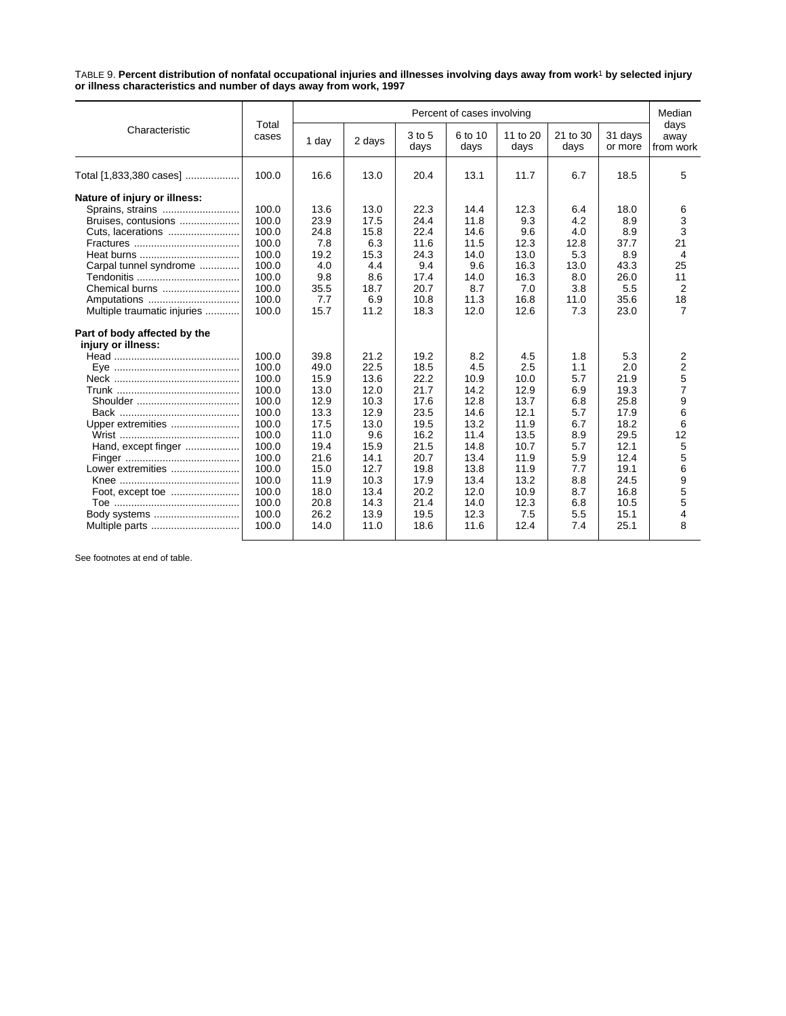TABLE 9. **Percent distribution of nonfatal occupational injuries and illnesses involving days away from work**1 **by selected injury or illness characteristics and number of days away from work, 1997**

|                              | Total |       | Percent of cases involving |                |                 |                  |                  |                    |                           |
|------------------------------|-------|-------|----------------------------|----------------|-----------------|------------------|------------------|--------------------|---------------------------|
| Characteristic               | cases | 1 day | 2 days                     | 3 to 5<br>days | 6 to 10<br>days | 11 to 20<br>days | 21 to 30<br>days | 31 days<br>or more | days<br>away<br>from work |
| Total [1,833,380 cases]      | 100.0 | 16.6  | 13.0                       | 20.4           | 13.1            | 11.7             | 6.7              | 18.5               | 5                         |
| Nature of injury or illness: |       |       |                            |                |                 |                  |                  |                    |                           |
| Sprains, strains             | 100.0 | 13.6  | 13.0                       | 22.3           | 14.4            | 12.3             | 6.4              | 18.0               | 6                         |
| Bruises, contusions          | 100.0 | 23.9  | 17.5                       | 24.4           | 11.8            | 9.3              | 4.2              | 8.9                | 3                         |
| Cuts, lacerations            | 100.0 | 24.8  | 15.8                       | 22.4           | 14.6            | 9.6              | 4.0              | 8.9                | 3                         |
|                              | 100.0 | 7.8   | 6.3                        | 11.6           | 11.5            | 12.3             | 12.8             | 37.7               | 21                        |
|                              | 100.0 | 19.2  | 15.3                       | 24.3           | 14.0            | 13.0             | 5.3              | 8.9                | $\overline{4}$            |
| Carpal tunnel syndrome       | 100.0 | 4.0   | 4.4                        | 9.4            | 9.6             | 16.3             | 13.0             | 43.3               | 25                        |
|                              | 100.0 | 9.8   | 8.6                        | 17.4           | 14.0            | 16.3             | 8.0              | 26.0               | 11                        |
| Chemical burns               | 100.0 | 35.5  | 18.7                       | 20.7           | 8.7             | 7.0              | 3.8              | 5.5                | $\overline{2}$            |
| Amputations                  | 100.0 | 7.7   | 6.9                        | 10.8           | 11.3            | 16.8             | 11.0             | 35.6               | 18                        |
| Multiple traumatic injuries  | 100.0 | 15.7  | 11.2                       | 18.3           | 12.0            | 12.6             | 7.3              | 23.0               | $\overline{7}$            |
| Part of body affected by the |       |       |                            |                |                 |                  |                  |                    |                           |
| injury or illness:           |       |       |                            |                |                 |                  |                  |                    |                           |
|                              | 100.0 | 39.8  | 21.2                       | 19.2           | 8.2             | 4.5              | 1.8              | 5.3                | 2                         |
|                              | 100.0 | 49.0  | 22.5                       | 18.5           | 4.5             | 2.5              | 1.1              | 2.0                | $\overline{2}$            |
|                              | 100.0 | 15.9  | 13.6                       | 22.2           | 10.9            | 10.0             | 5.7              | 21.9               | 5                         |
|                              | 100.0 | 13.0  | 12.0                       | 21.7           | 14.2            | 12.9             | 6.9              | 19.3               | $\overline{7}$            |
|                              | 100.0 | 12.9  | 10.3                       | 17.6           | 12.8            | 13.7             | 6.8              | 25.8               | 9                         |
|                              | 100.0 | 13.3  | 12.9                       | 23.5           | 14.6            | 12.1             | 5.7              | 17.9               | 6                         |
| Upper extremities            | 100.0 | 17.5  | 13.0                       | 19.5           | 13.2            | 11.9             | 6.7              | 18.2               | 6                         |
|                              | 100.0 | 11.0  | 9.6                        | 16.2           | 11.4            | 13.5             | 8.9              | 29.5               | 12                        |
| Hand, except finger          | 100.0 | 19.4  | 15.9                       | 21.5           | 14.8            | 10.7             | 5.7              | 12.1               | $\mathbf 5$               |
|                              | 100.0 | 21.6  | 14.1                       | 20.7           | 13.4            | 11.9             | 5.9              | 12.4               | 5                         |
| Lower extremities            | 100.0 | 15.0  | 12.7                       | 19.8           | 13.8            | 11.9             | 7.7              | 19.1               | 6                         |
|                              | 100.0 | 11.9  | 10.3                       | 17.9           | 13.4            | 13.2             | 8.8              | 24.5               | 9                         |
|                              | 100.0 | 18.0  | 13.4                       | 20.2           | 12.0            | 10.9             | 8.7              | 16.8               | 5                         |
|                              | 100.0 | 20.8  | 14.3                       | 21.4           | 14.0            | 12.3             | 6.8              | 10.5               | 5                         |
| Body systems                 | 100.0 | 26.2  | 13.9                       | 19.5           | 12.3            | 7.5              | 5.5              | 15.1               | 4                         |
| Multiple parts               | 100.0 | 14.0  | 11.0                       | 18.6           | 11.6            | 12.4             | 7.4              | 25.1               | 8                         |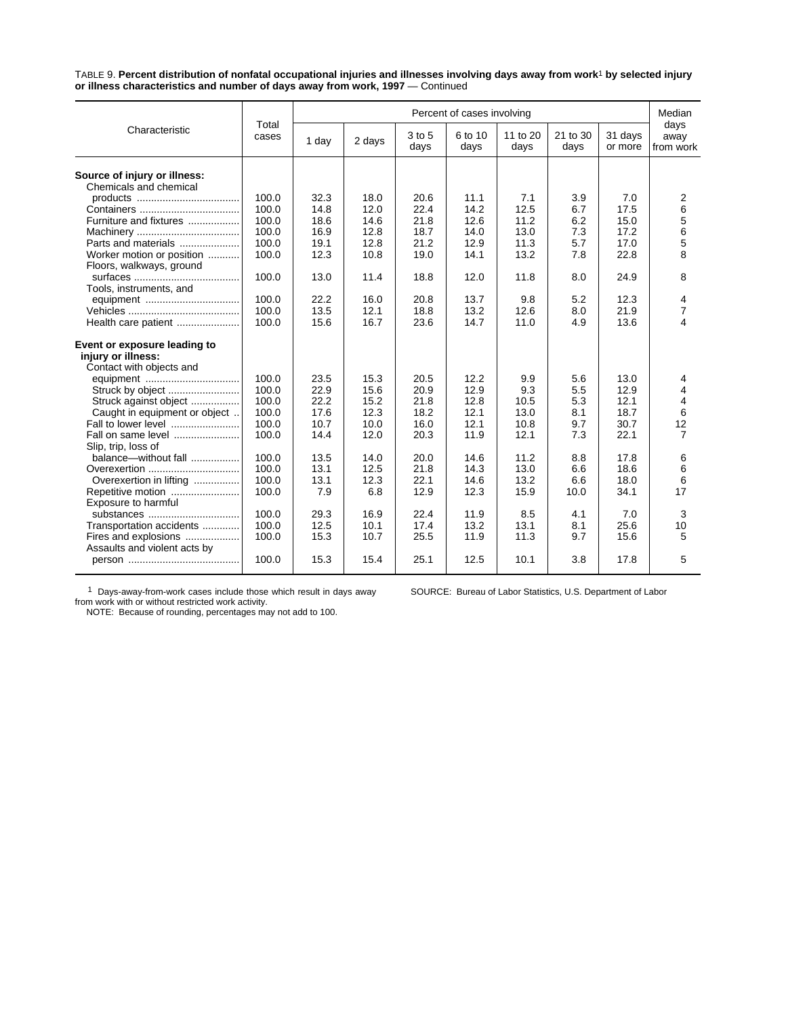TABLE 9. **Percent distribution of nonfatal occupational injuries and illnesses involving days away from work**1 **by selected injury or illness characteristics and number of days away from work, 1997** — Continued

|                               |                |       |              |                | Percent of cases involving |                  |                  |                    | Median                    |
|-------------------------------|----------------|-------|--------------|----------------|----------------------------|------------------|------------------|--------------------|---------------------------|
| Characteristic                | Total<br>cases | 1 day | 2 days       | 3 to 5<br>days | 6 to 10<br>days            | 11 to 20<br>days | 21 to 30<br>days | 31 days<br>or more | days<br>away<br>from work |
|                               |                |       |              |                |                            |                  |                  |                    |                           |
| Source of injury or illness:  |                |       |              |                |                            |                  |                  |                    |                           |
| Chemicals and chemical        |                |       |              |                | 11.1                       | 7.1              |                  |                    |                           |
|                               | 100.0          | 32.3  | 18.0<br>12.0 | 20.6<br>22.4   | 14.2                       | 12.5             | 3.9<br>6.7       | 7.0<br>17.5        | 2                         |
|                               | 100.0          | 14.8  |              |                |                            |                  |                  | 15.0               | 6                         |
| Furniture and fixtures        | 100.0          | 18.6  | 14.6         | 21.8           | 12.6                       | 11.2             | 6.2              |                    | 5                         |
|                               | 100.0          | 16.9  | 12.8         | 18.7           | 14.0                       | 13.0             | 7.3              | 17.2               | 6                         |
| Parts and materials           | 100.0          | 19.1  | 12.8         | 21.2           | 12.9                       | 11.3             | 5.7              | 17.0               | 5                         |
| Worker motion or position     | 100.0          | 12.3  | 10.8         | 19.0           | 14.1                       | 13.2             | 7.8              | 22.8               | 8                         |
| Floors, walkways, ground      |                |       |              |                |                            |                  |                  |                    |                           |
|                               | 100.0          | 13.0  | 11.4         | 18.8           | 12.0                       | 11.8             | 8.0              | 24.9               | 8                         |
| Tools, instruments, and       |                |       |              |                |                            |                  |                  |                    |                           |
| equipment                     | 100.0          | 22.2  | 16.0         | 20.8           | 13.7                       | 9.8              | 5.2              | 12.3               | 4                         |
|                               | 100.0          | 13.5  | 12.1         | 18.8           | 13.2                       | 12.6             | 8.0              | 21.9               | $\overline{7}$            |
| Health care patient           | 100.0          | 15.6  | 16.7         | 23.6           | 14.7                       | 11.0             | 4.9              | 13.6               | 4                         |
| Event or exposure leading to  |                |       |              |                |                            |                  |                  |                    |                           |
| injury or illness:            |                |       |              |                |                            |                  |                  |                    |                           |
|                               |                |       |              |                |                            |                  |                  |                    |                           |
| Contact with objects and      | 100.0          | 23.5  | 15.3         | 20.5           | 12.2                       | 9.9              | 5.6              | 13.0               |                           |
|                               | 100.0          | 22.9  | 15.6         | 20.9           | 12.9                       | 9.3              | 5.5              | 12.9               | 4<br>4                    |
| Struck by object              | 100.0          |       |              |                |                            |                  |                  |                    |                           |
| Struck against object         |                | 22.2  | 15.2         | 21.8           | 12.8                       | 10.5             | 5.3              | 12.1               | $\overline{4}$            |
| Caught in equipment or object | 100.0          | 17.6  | 12.3         | 18.2           | 12.1                       | 13.0             | 8.1              | 18.7               | 6                         |
| Fall to lower level           | 100.0          | 10.7  | 10.0         | 16.0           | 12.1                       | 10.8             | 9.7              | 30.7               | 12                        |
| Fall on same level            | 100.0          | 14.4  | 12.0         | 20.3           | 11.9                       | 12.1             | 7.3              | 22.1               | $\overline{7}$            |
| Slip, trip, loss of           |                |       |              |                |                            |                  |                  |                    |                           |
| balance-without fall          | 100.0          | 13.5  | 14.0         | 20.0           | 14.6                       | 11.2             | 8.8              | 17.8               | 6                         |
| Overexertion                  | 100.0          | 13.1  | 12.5         | 21.8           | 14.3                       | 13.0             | 6.6              | 18.6               | 6                         |
| Overexertion in lifting       | 100.0          | 13.1  | 12.3         | 22.1           | 14.6                       | 13.2             | 6.6              | 18.0               | 6                         |
| Repetitive motion             | 100.0          | 7.9   | 6.8          | 12.9           | 12.3                       | 15.9             | 10.0             | 34.1               | 17                        |
| Exposure to harmful           |                |       |              |                |                            |                  |                  |                    |                           |
| substances                    | 100.0          | 29.3  | 16.9         | 22.4           | 11.9                       | 8.5              | 4.1              | 7.0                | 3                         |
| Transportation accidents      | 100.0          | 12.5  | 10.1         | 17.4           | 13.2                       | 13.1             | 8.1              | 25.6               | 10                        |
| Fires and explosions          | 100.0          | 15.3  | 10.7         | 25.5           | 11.9                       | 11.3             | 9.7              | 15.6               | 5                         |
| Assaults and violent acts by  |                |       |              |                |                            |                  |                  |                    |                           |
|                               | 100.0          | 15.3  | 15.4         | 25.1           | 12.5                       | 10.1             | 3.8              | 17.8               | 5                         |
|                               |                |       |              |                |                            |                  |                  |                    |                           |

1 Days-away-from-work cases include those which result in days away from work with or without restricted work activity. NOTE: Because of rounding, percentages may not add to 100.